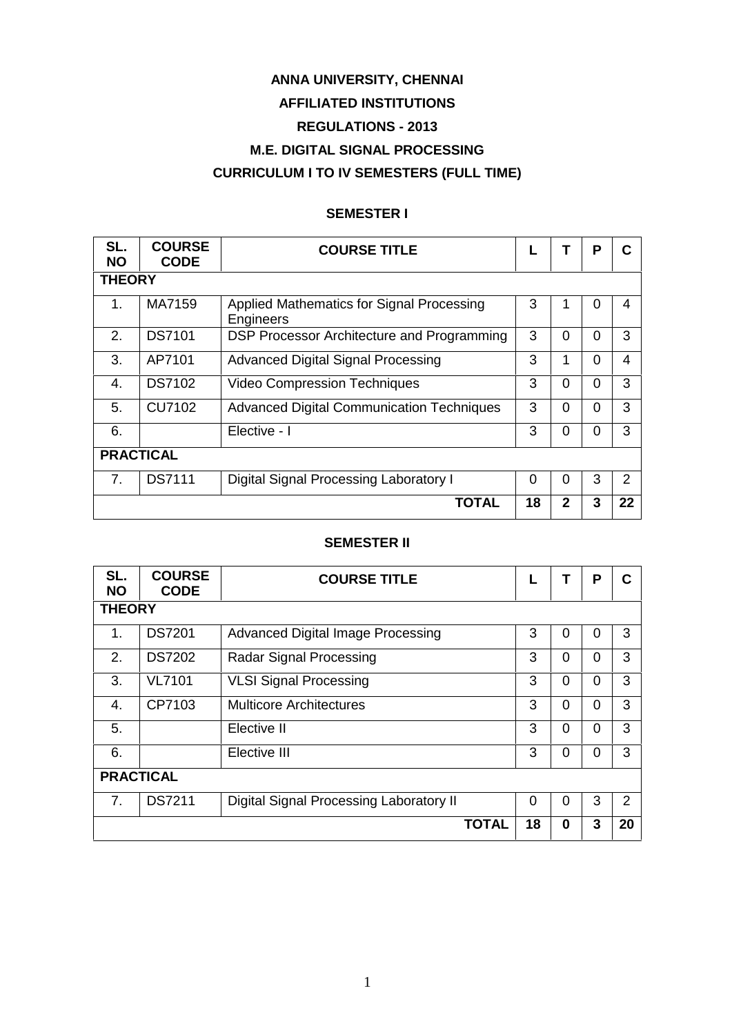## **ANNA UNIVERSITY, CHENNAI**

# **AFFILIATED INSTITUTIONS**

### **REGULATIONS - 2013**

## **M.E. DIGITAL SIGNAL PROCESSING**

# **CURRICULUM I TO IV SEMESTERS (FULL TIME)**

## **SEMESTER I**

| SL.<br><b>NO</b> | <b>COURSE</b><br><b>CODE</b> | <b>COURSE TITLE</b>                                           |                | т        | P        | C |  |  |  |  |
|------------------|------------------------------|---------------------------------------------------------------|----------------|----------|----------|---|--|--|--|--|
|                  | <b>THEORY</b>                |                                                               |                |          |          |   |  |  |  |  |
| 1.               | MA7159                       | Applied Mathematics for Signal Processing<br><b>Engineers</b> | 3              | 1        | $\Omega$ | 4 |  |  |  |  |
| 2.               | <b>DS7101</b>                | DSP Processor Architecture and Programming                    | 3              | $\Omega$ | $\Omega$ | 3 |  |  |  |  |
| 3.               | AP7101                       | <b>Advanced Digital Signal Processing</b>                     | 3              | 1        | $\Omega$ | 4 |  |  |  |  |
| 4.               | DS7102                       | <b>Video Compression Techniques</b>                           | 3              | 0        | $\Omega$ | 3 |  |  |  |  |
| 5.               | <b>CU7102</b>                | <b>Advanced Digital Communication Techniques</b>              | 3              | 0        | $\Omega$ | 3 |  |  |  |  |
| 6.               |                              | Elective - I                                                  | 3              | 0        | 0        | 3 |  |  |  |  |
| <b>PRACTICAL</b> |                              |                                                               |                |          |          |   |  |  |  |  |
| 7 <sub>1</sub>   | <b>DS7111</b>                | Digital Signal Processing Laboratory I                        | 0              | $\Omega$ | 3        | 2 |  |  |  |  |
|                  |                              | 18                                                            | $\overline{2}$ | 3        | 22       |   |  |  |  |  |

#### **SEMESTER II**

| SL.<br><b>NO</b> | <b>COURSE</b><br><b>CODE</b>       | <b>COURSE TITLE</b>                      |   |   | P        | C              |  |  |
|------------------|------------------------------------|------------------------------------------|---|---|----------|----------------|--|--|
| <b>THEORY</b>    |                                    |                                          |   |   |          |                |  |  |
| 1.               | <b>DS7201</b>                      | <b>Advanced Digital Image Processing</b> | 3 | 0 | 0        | 3              |  |  |
| 2.               | <b>DS7202</b>                      | Radar Signal Processing                  | 3 | 0 | $\Omega$ | 3              |  |  |
| 3.               | <b>VL7101</b>                      | <b>VLSI Signal Processing</b>            | 3 | 0 | $\Omega$ | 3              |  |  |
| 4.               | CP7103                             | <b>Multicore Architectures</b>           | 3 | 0 | $\Omega$ | 3              |  |  |
| 5.               |                                    | Elective II                              | 3 | 0 | $\Omega$ | 3              |  |  |
| 6.               |                                    | Elective III                             | 3 | 0 | $\Omega$ | 3              |  |  |
| <b>PRACTICAL</b> |                                    |                                          |   |   |          |                |  |  |
| 7.               | <b>DS7211</b>                      | Digital Signal Processing Laboratory II  | 0 | 0 | 3        | $\overline{2}$ |  |  |
|                  | <b>TOTAL</b><br>18<br>3<br>0<br>20 |                                          |   |   |          |                |  |  |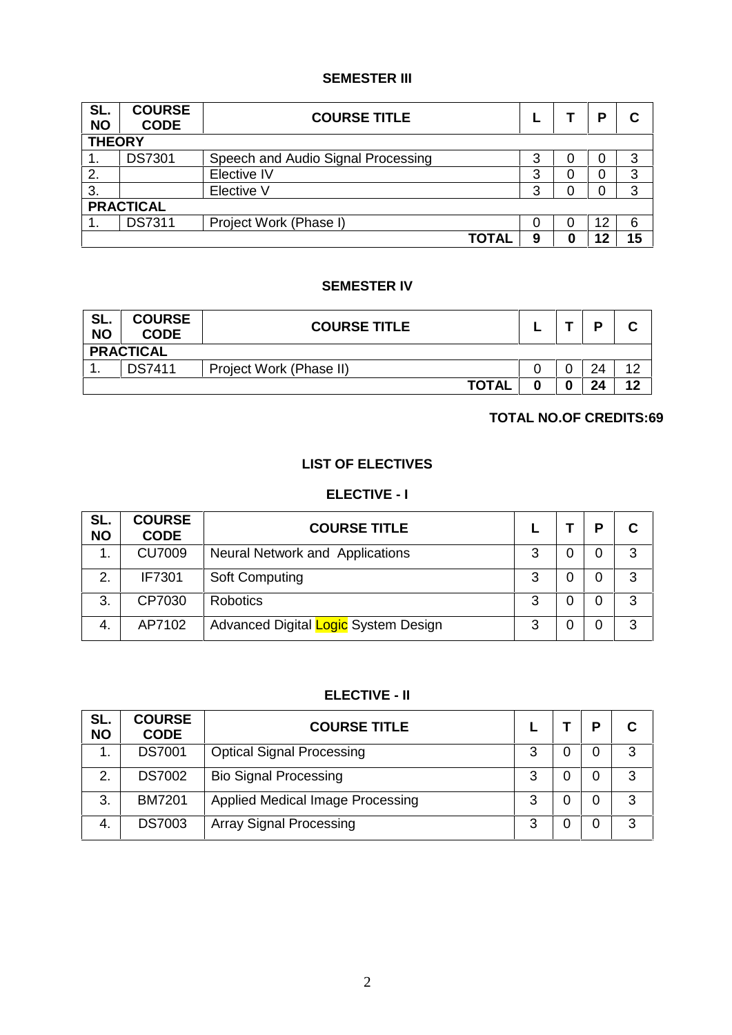### **SEMESTER III**

| SL.<br><b>NO</b> | <b>COURSE</b><br><b>CODE</b> | <b>COURSE TITLE</b>                |   |   | D  | С  |  |  |  |
|------------------|------------------------------|------------------------------------|---|---|----|----|--|--|--|
|                  | <b>THEORY</b>                |                                    |   |   |    |    |  |  |  |
| ι.               | <b>DS7301</b>                | Speech and Audio Signal Processing | 3 | 0 |    | 3  |  |  |  |
| 2.               |                              | Elective IV                        | 3 | 0 |    | 3  |  |  |  |
| 3.               |                              | Elective V                         | 3 | 0 |    | 3  |  |  |  |
| <b>PRACTICAL</b> |                              |                                    |   |   |    |    |  |  |  |
|                  | <b>DS7311</b>                | Project Work (Phase I)             | 0 | 0 | 12 | 6  |  |  |  |
|                  |                              | <b>TOTAL</b>                       | 9 | 0 | 12 | 15 |  |  |  |

### **SEMESTER IV**

| SL.<br><b>NO</b> | <b>COURSE</b><br><b>CODE</b> | <b>COURSE TITLE</b>     | - |   | D  | u  |  |  |  |
|------------------|------------------------------|-------------------------|---|---|----|----|--|--|--|
| <b>PRACTICAL</b> |                              |                         |   |   |    |    |  |  |  |
| . .              | <b>DS7411</b>                | Project Work (Phase II) |   |   | 24 | 12 |  |  |  |
|                  |                              | <b>TOTAL</b>            | 0 | 0 | 24 | 12 |  |  |  |

# **TOTAL NO.OF CREDITS:69**

#### **LIST OF ELECTIVES**

#### **ELECTIVE - I**

| SL.<br><b>NO</b> | <b>COURSE</b><br><b>CODE</b> | <b>COURSE TITLE</b>                  |   | Р | С |
|------------------|------------------------------|--------------------------------------|---|---|---|
| . .              | <b>CU7009</b>                | Neural Network and Applications      | 3 | 0 | 3 |
| 2.               | <b>IF7301</b>                | Soft Computing                       | 3 | 0 | 3 |
| 3.               | CP7030                       | <b>Robotics</b>                      | 3 | 0 | 3 |
| -4.              | AP7102                       | Advanced Digital Logic System Design | 3 | 0 | 3 |

### **ELECTIVE - II**

| SL.<br><b>NO</b> | <b>COURSE</b><br><b>CODE</b> | <b>COURSE TITLE</b>              |   |   | Р | C |
|------------------|------------------------------|----------------------------------|---|---|---|---|
| 1                | <b>DS7001</b>                | <b>Optical Signal Processing</b> | 3 |   | 0 | 3 |
| 2.               | <b>DS7002</b>                | <b>Bio Signal Processing</b>     | 3 | 0 | 0 | 3 |
| 3.               | <b>BM7201</b>                | Applied Medical Image Processing | 3 |   | 0 | 3 |
| 4.               | <b>DS7003</b>                | <b>Array Signal Processing</b>   | 3 |   | 0 | 3 |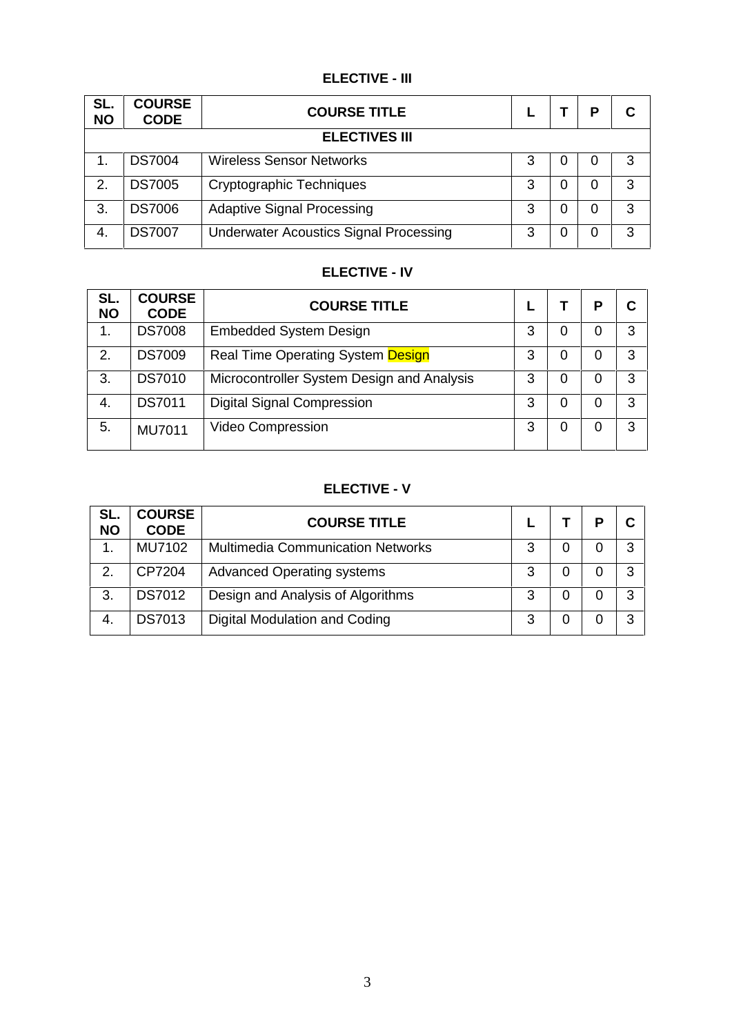# **ELECTIVE - III**

| SL.<br><b>NO</b> | <b>COURSE</b><br><b>CODE</b> | <b>COURSE TITLE</b>                           |   |   | Р | С |  |  |  |
|------------------|------------------------------|-----------------------------------------------|---|---|---|---|--|--|--|
|                  | <b>ELECTIVES III</b>         |                                               |   |   |   |   |  |  |  |
| 1.               | <b>DS7004</b>                | <b>Wireless Sensor Networks</b>               | 3 |   |   | 3 |  |  |  |
| 2.               | <b>DS7005</b>                | Cryptographic Techniques                      | 3 |   |   | 3 |  |  |  |
| 3.               | <b>DS7006</b>                | <b>Adaptive Signal Processing</b>             | 3 | O |   | 3 |  |  |  |
| -4.              | <b>DS7007</b>                | <b>Underwater Acoustics Signal Processing</b> | 3 |   |   | 3 |  |  |  |

# **ELECTIVE - IV**

| SL.<br><b>NO</b> | <b>COURSE</b><br><b>CODE</b> | <b>COURSE TITLE</b>                        |   |   | P            | С |
|------------------|------------------------------|--------------------------------------------|---|---|--------------|---|
| 1.               | <b>DS7008</b>                | <b>Embedded System Design</b>              | 3 | 0 | 0            | 3 |
| 2.               | <b>DS7009</b>                | Real Time Operating System Design          | 3 | 0 | $\mathbf{0}$ | 3 |
| 3.               | <b>DS7010</b>                | Microcontroller System Design and Analysis | 3 | 0 | 0            | 3 |
| 4.               | <b>DS7011</b>                | <b>Digital Signal Compression</b>          | 3 | 0 | 0            | 3 |
| 5.               | <b>MU7011</b>                | Video Compression                          | 3 | 0 | 0            | 3 |

# **ELECTIVE - V**

| SL.<br><b>NO</b> | <b>COURSE</b><br><b>CODE</b> | <b>COURSE TITLE</b>                      |   | D | C |
|------------------|------------------------------|------------------------------------------|---|---|---|
|                  | MU7102                       | <b>Multimedia Communication Networks</b> | 3 |   | 3 |
| 2.               | CP7204                       | <b>Advanced Operating systems</b>        | 3 |   | 3 |
| 3.               | <b>DS7012</b>                | Design and Analysis of Algorithms        | 3 |   | 3 |
| -4.              | <b>DS7013</b>                | Digital Modulation and Coding            | 3 |   | 3 |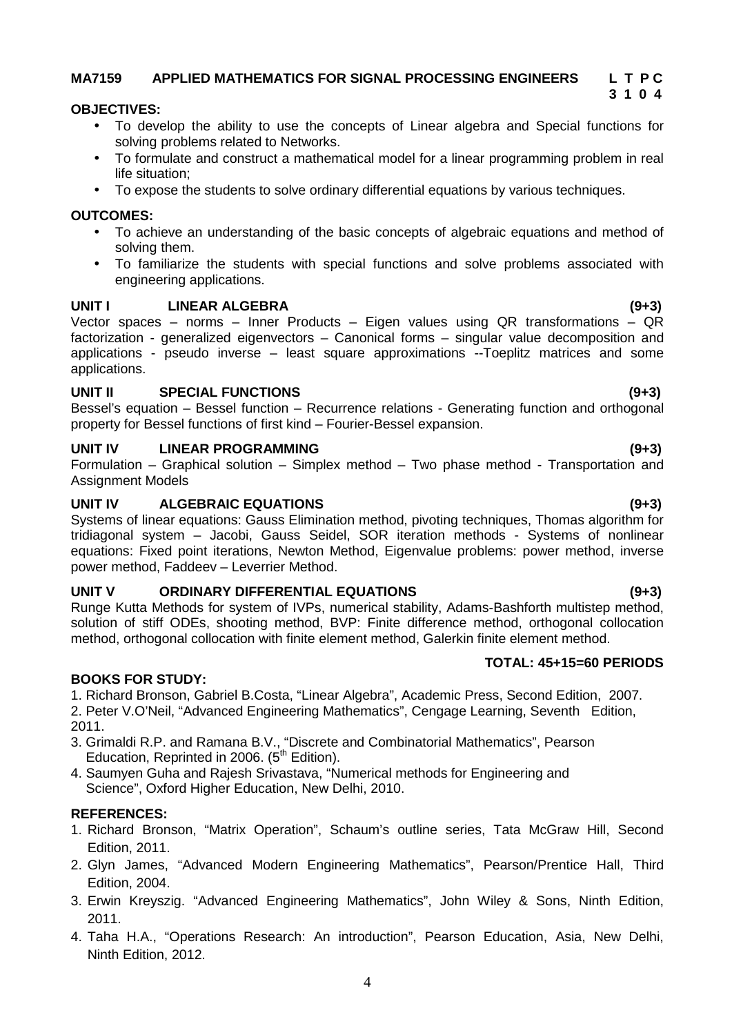#### **MA7159 APPLIED MATHEMATICS FOR SIGNAL PROCESSING ENGINEERS L T P C 3 1 0 4**

# **OBJECTIVES:**

- To develop the ability to use the concepts of Linear algebra and Special functions for solving problems related to Networks.
- To formulate and construct a mathematical model for a linear programming problem in real life situation;
- To expose the students to solve ordinary differential equations by various techniques.

#### **OUTCOMES:**

- To achieve an understanding of the basic concepts of algebraic equations and method of solving them.
- To familiarize the students with special functions and solve problems associated with engineering applications.

#### **UNIT I LINEAR ALGEBRA (9+3)**

Vector spaces – norms – Inner Products – Eigen values using QR transformations – QR factorization - generalized eigenvectors – Canonical forms – singular value decomposition and applications - pseudo inverse – least square approximations --Toeplitz matrices and some applications.

#### **UNIT II SPECIAL FUNCTIONS (9+3)**

Bessel's equation – Bessel function – Recurrence relations - Generating function and orthogonal property for Bessel functions of first kind – Fourier-Bessel expansion.

#### **UNIT IV LINEAR PROGRAMMING (9+3)**

Formulation – Graphical solution – Simplex method – Two phase method - Transportation and Assignment Models

#### **UNIT IV ALGEBRAIC EQUATIONS (9+3)**

Systems of linear equations: Gauss Elimination method, pivoting techniques, Thomas algorithm for tridiagonal system – Jacobi, Gauss Seidel, SOR iteration methods - Systems of nonlinear equations: Fixed point iterations, Newton Method, Eigenvalue problems: power method, inverse power method, Faddeev – Leverrier Method.

#### **UNIT V ORDINARY DIFFERENTIAL EQUATIONS (9+3)**

Runge Kutta Methods for system of IVPs, numerical stability, Adams-Bashforth multistep method, solution of stiff ODEs, shooting method, BVP: Finite difference method, orthogonal collocation method, orthogonal collocation with finite element method, Galerkin finite element method.

#### **TOTAL: 45+15=60 PERIODS**

### **BOOKS FOR STUDY:**

1. Richard Bronson, Gabriel B.Costa, "Linear Algebra", Academic Press, Second Edition, 2007.

2. Peter V.O'Neil, "Advanced Engineering Mathematics", Cengage Learning, Seventh Edition, 2011.

- 3. Grimaldi R.P. and Ramana B.V., "Discrete and Combinatorial Mathematics", Pearson Education, Reprinted in 2006.  $(5<sup>th</sup> Edition)$ .
- 4. Saumyen Guha and Rajesh Srivastava, "Numerical methods for Engineering and Science", Oxford Higher Education, New Delhi, 2010.

#### **REFERENCES:**

- 1. Richard Bronson, "Matrix Operation", Schaum's outline series, Tata McGraw Hill, Second Edition, 2011.
- 2. Glyn James, "Advanced Modern Engineering Mathematics", Pearson/Prentice Hall, Third Edition, 2004.
- 3. Erwin Kreyszig. "Advanced Engineering Mathematics", John Wiley & Sons, Ninth Edition, 2011.
- 4. Taha H.A., "Operations Research: An introduction", Pearson Education, Asia, New Delhi, Ninth Edition, 2012.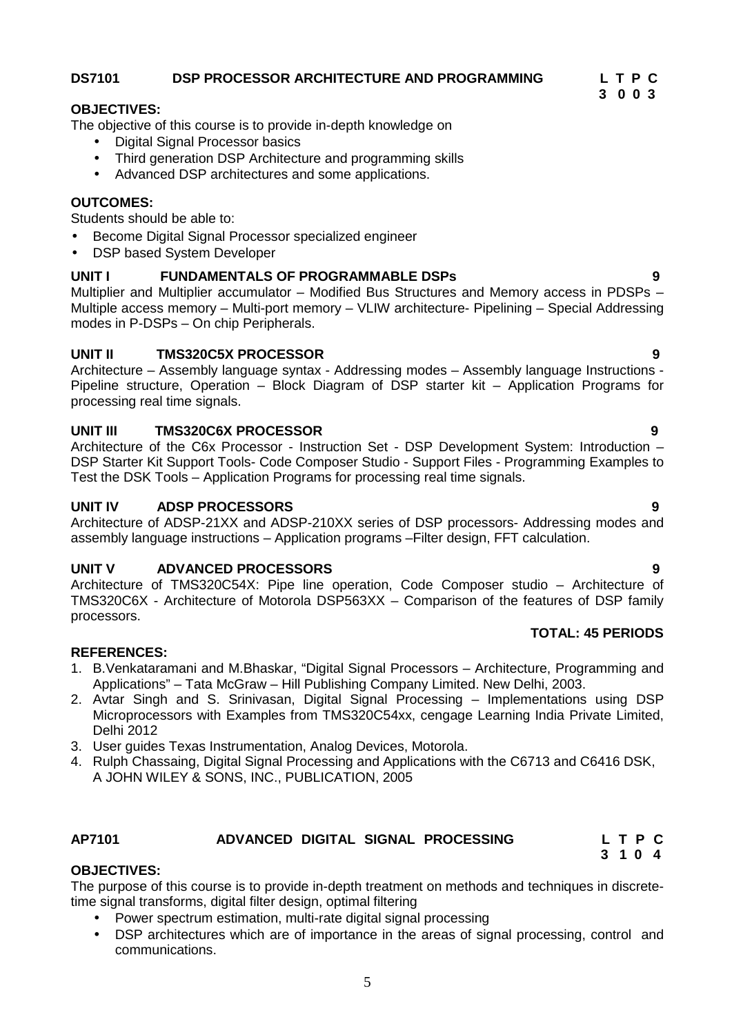### **DS7101 DSP PROCESSOR ARCHITECTURE AND PROGRAMMING L T P C**

#### **OBJECTIVES:**

The objective of this course is to provide in-depth knowledge on

- Digital Signal Processor basics
- Third generation DSP Architecture and programming skills
- Advanced DSP architectures and some applications.

#### **OUTCOMES:**

Students should be able to:

- **Become Digital Signal Processor specialized engineer**
- DSP based System Developer

### **UNIT I FUNDAMENTALS OF PROGRAMMABLE DSPs 9**

Multiplier and Multiplier accumulator – Modified Bus Structures and Memory access in PDSPs – Multiple access memory – Multi-port memory – VLIW architecture- Pipelining – Special Addressing modes in P-DSPs – On chip Peripherals.

#### **UNIT II TMS320C5X PROCESSOR 9**

Architecture – Assembly language syntax - Addressing modes – Assembly language Instructions - Pipeline structure, Operation – Block Diagram of DSP starter kit – Application Programs for processing real time signals.

#### **UNIT III TMS320C6X PROCESSOR 9**

Architecture of the C6x Processor - Instruction Set - DSP Development System: Introduction – DSP Starter Kit Support Tools- Code Composer Studio - Support Files - Programming Examples to Test the DSK Tools – Application Programs for processing real time signals.

#### **UNIT IV ADSP PROCESSORS 9**

Architecture of ADSP-21XX and ADSP-210XX series of DSP processors- Addressing modes and assembly language instructions – Application programs –Filter design, FFT calculation.

#### **UNIT V ADVANCED PROCESSORS 9**

Architecture of TMS320C54X: Pipe line operation, Code Composer studio – Architecture of TMS320C6X - Architecture of Motorola DSP563XX – Comparison of the features of DSP family processors.

#### **REFERENCES:**

- 1. B.Venkataramani and M.Bhaskar, "Digital Signal Processors Architecture, Programming and Applications" – Tata McGraw – Hill Publishing Company Limited. New Delhi, 2003.
- 2. Avtar Singh and S. Srinivasan, Digital Signal Processing Implementations using DSP Microprocessors with Examples from TMS320C54xx, cengage Learning India Private Limited, Delhi 2012
- 3. User guides Texas Instrumentation, Analog Devices, Motorola.
- 4. Rulph Chassaing, Digital Signal Processing and Applications with the C6713 and C6416 DSK, A JOHN WILEY & SONS, INC., PUBLICATION, 2005

# **AP7101 ADVANCED DIGITAL SIGNAL PROCESSING L T P C**

#### **OBJECTIVES:**

The purpose of this course is to provide in-depth treatment on methods and techniques in discretetime signal transforms, digital filter design, optimal filtering

- Power spectrum estimation, multi-rate digital signal processing
- DSP architectures which are of importance in the areas of signal processing, control and communications.

**3 1 0 4**

**TOTAL: 45 PERIODS**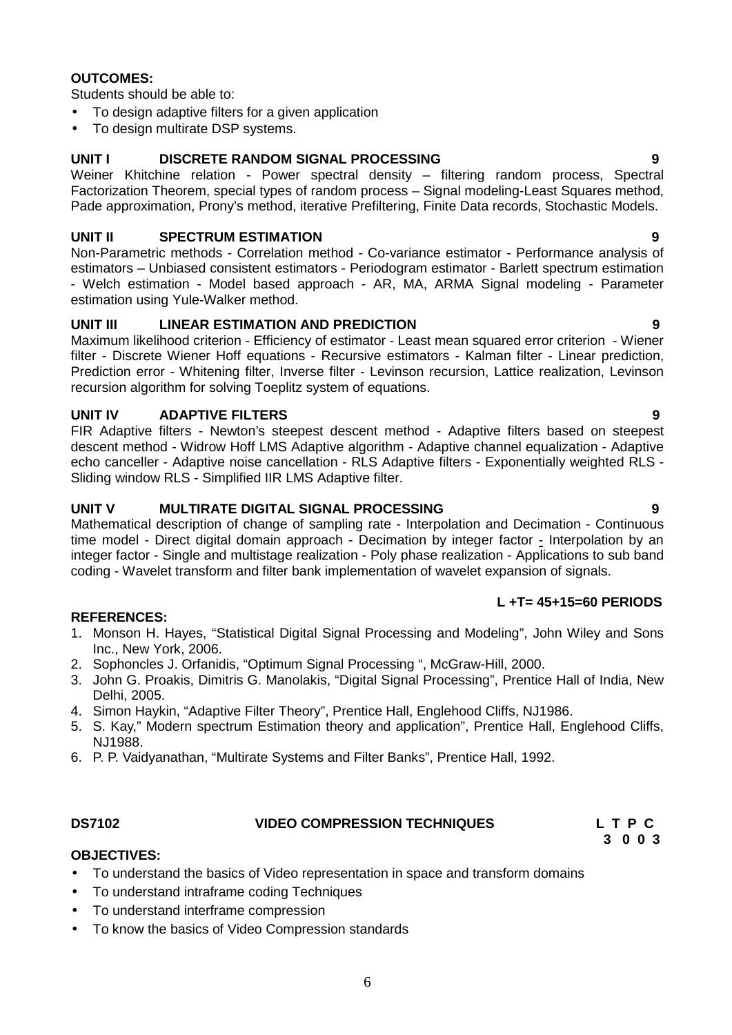#### **OUTCOMES:**

Students should be able to:

- To design adaptive filters for a given application
- To design multirate DSP systems.

#### **UNIT I DISCRETE RANDOM SIGNAL PROCESSING 9**

Weiner Khitchine relation - Power spectral density – filtering random process, Spectral Factorization Theorem, special types of random process – Signal modeling-Least Squares method, Pade approximation, Prony's method, iterative Prefiltering, Finite Data records, Stochastic Models.

#### **UNIT II SPECTRUM ESTIMATION 9**

Non-Parametric methods - Correlation method - Co-variance estimator - Performance analysis of estimators – Unbiased consistent estimators - Periodogram estimator - Barlett spectrum estimation - Welch estimation - Model based approach - AR, MA, ARMA Signal modeling - Parameter estimation using Yule-Walker method.

#### **UNIT III LINEAR ESTIMATION AND PREDICTION 9**

Maximum likelihood criterion - Efficiency of estimator - Least mean squared error criterion - Wiener filter - Discrete Wiener Hoff equations - Recursive estimators - Kalman filter - Linear prediction, Prediction error - Whitening filter, Inverse filter - Levinson recursion, Lattice realization, Levinson recursion algorithm for solving Toeplitz system of equations.

### **UNIT IV ADAPTIVE FILTERS 9**

FIR Adaptive filters - Newton's steepest descent method - Adaptive filters based on steepest descent method - Widrow Hoff LMS Adaptive algorithm - Adaptive channel equalization - Adaptive echo canceller - Adaptive noise cancellation - RLS Adaptive filters - Exponentially weighted RLS - Sliding window RLS - Simplified IIR LMS Adaptive filter.

#### **UNIT V MULTIRATE DIGITAL SIGNAL PROCESSING 9**

Mathematical description of change of sampling rate - Interpolation and Decimation - Continuous time model - Direct digital domain approach - Decimation by integer factor - Interpolation by an integer factor - Single and multistage realization - Poly phase realization - Applications to sub band coding - Wavelet transform and filter bank implementation of wavelet expansion of signals.

#### **L +T= 45+15=60 PERIODS**

#### **REFERENCES:**

- 1. Monson H. Hayes, "Statistical Digital Signal Processing and Modeling", John Wiley and Sons Inc., New York, 2006.
- 2. Sophoncles J. Orfanidis, "Optimum Signal Processing ", McGraw-Hill, 2000.
- 3. John G. Proakis, Dimitris G. Manolakis, "Digital Signal Processing", Prentice Hall of India, New Delhi, 2005.
- 4. Simon Haykin, "Adaptive Filter Theory", Prentice Hall, Englehood Cliffs, NJ1986.
- 5. S. Kay," Modern spectrum Estimation theory and application", Prentice Hall, Englehood Cliffs, NJ1988.
- 6. P. P. Vaidyanathan, "Multirate Systems and Filter Banks", Prentice Hall, 1992.

#### **DS7102 VIDEO COMPRESSION TECHNIQUES L T P C**

**3 0 0 3**

#### **OBJECTIVES:**

- To understand the basics of Video representation in space and transform domains
- To understand intraframe coding Techniques
- To understand interframe compression
- To know the basics of Video Compression standards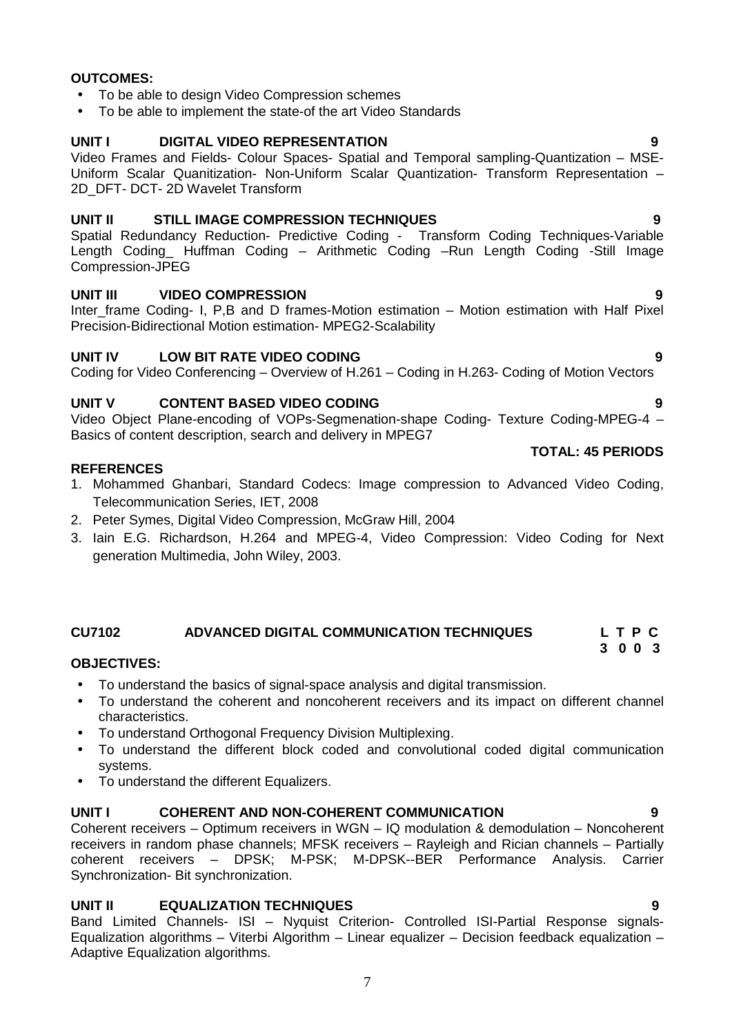### **OUTCOMES:**

- To be able to design Video Compression schemes
- To be able to implement the state-of the art Video Standards

### **UNIT I DIGITAL VIDEO REPRESENTATION 9**

Video Frames and Fields- Colour Spaces- Spatial and Temporal sampling-Quantization – MSE- Uniform Scalar Quanitization- Non-Uniform Scalar Quantization- Transform Representation – 2D\_DFT- DCT- 2D Wavelet Transform

#### **UNIT II STILL IMAGE COMPRESSION TECHNIQUES 9**

Spatial Redundancy Reduction- Predictive Coding - Transform Coding Techniques-Variable Length Coding Huffman Coding – Arithmetic Coding –Run Length Coding -Still Image Compression-JPEG

#### **UNIT III VIDEO COMPRESSION 9**

Inter frame Coding- I, P,B and D frames-Motion estimation – Motion estimation with Half Pixel Precision-Bidirectional Motion estimation- MPEG2-Scalability

#### **UNIT IV LOW BIT RATE VIDEO CODING 9**

Coding for Video Conferencing – Overview of H.261 – Coding in H.263- Coding of Motion Vectors

#### **UNIT V CONTENT BASED VIDEO CODING 9**

Video Object Plane-encoding of VOPs-Segmenation-shape Coding- Texture Coding-MPEG-4 – Basics of content description, search and delivery in MPEG7

#### **REFERENCES**

- 1. Mohammed Ghanbari, Standard Codecs: Image compression to Advanced Video Coding, Telecommunication Series, IET, 2008
- 2. Peter Symes, Digital Video Compression, McGraw Hill, 2004
- 3. Iain E.G. Richardson, H.264 and MPEG-4, Video Compression: Video Coding for Next generation Multimedia, John Wiley, 2003.

#### **CU7102 ADVANCED DIGITAL COMMUNICATION TECHNIQUES L T P C**

#### **OBJECTIVES:**

- To understand the basics of signal-space analysis and digital transmission.
- To understand the coherent and noncoherent receivers and its impact on different channel characteristics.
- To understand Orthogonal Frequency Division Multiplexing.
- To understand the different block coded and convolutional coded digital communication systems.
- To understand the different Equalizers.

# **UNIT I COHERENT AND NON-COHERENT COMMUNICATION 9**

Coherent receivers – Optimum receivers in WGN – IQ modulation & demodulation – Noncoherent receivers in random phase channels; MFSK receivers – Rayleigh and Rician channels – Partially coherent receivers – DPSK; M-PSK; M-DPSK--BER Performance Analysis. Carrier Synchronization- Bit synchronization.

### **UNIT II EQUALIZATION TECHNIQUES 9**

Band Limited Channels- ISI – Nyquist Criterion- Controlled ISI-Partial Response signals- Equalization algorithms – Viterbi Algorithm – Linear equalizer – Decision feedback equalization – Adaptive Equalization algorithms.

#### **TOTAL: 45 PERIODS**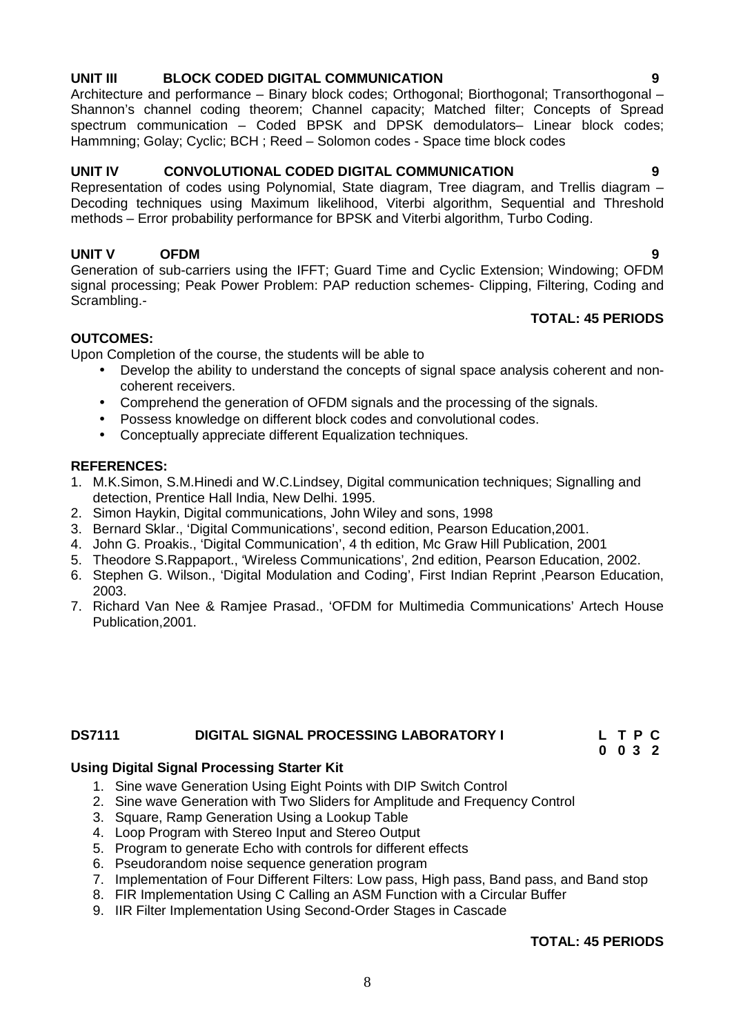### **TOTAL: 45 PERIODS**

**0 0 3 2**

## **UNIT III BLOCK CODED DIGITAL COMMUNICATION 9**

Architecture and performance – Binary block codes; Orthogonal; Biorthogonal; Transorthogonal – Shannon's channel coding theorem; Channel capacity; Matched filter; Concepts of Spread spectrum communication – Coded BPSK and DPSK demodulators– Linear block codes; Hammning; Golay; Cyclic; BCH ; Reed – Solomon codes - Space time block codes

# **UNIT IV CONVOLUTIONAL CODED DIGITAL COMMUNICATION 9**

Representation of codes using Polynomial, State diagram, Tree diagram, and Trellis diagram – Decoding techniques using Maximum likelihood, Viterbi algorithm, Sequential and Threshold methods – Error probability performance for BPSK and Viterbi algorithm, Turbo Coding.

**UNIT V OFDM 9** Generation of sub-carriers using the IFFT; Guard Time and Cyclic Extension; Windowing; OFDM signal processing; Peak Power Problem: PAP reduction schemes- Clipping, Filtering, Coding and Scrambling.-

# **TOTAL: 45 PERIODS**

# **OUTCOMES:**

Upon Completion of the course, the students will be able to

- Develop the ability to understand the concepts of signal space analysis coherent and non coherent receivers.
- Comprehend the generation of OFDM signals and the processing of the signals.
- Possess knowledge on different block codes and convolutional codes.
- Conceptually appreciate different Equalization techniques.

# **REFERENCES:**

- 1. M.K.Simon, S.M.Hinedi and W.C.Lindsey, Digital communication techniques; Signalling and detection, Prentice Hall India, New Delhi. 1995.
- 2. Simon Haykin, Digital communications, John Wiley and sons, 1998
- 3. Bernard Sklar., 'Digital Communications', second edition, Pearson Education,2001.
- 4. John G. Proakis., 'Digital Communication', 4 th edition, Mc Graw Hill Publication, 2001
- 5. Theodore S.Rappaport., 'Wireless Communications', 2nd edition, Pearson Education, 2002.
- 6. Stephen G. Wilson., 'Digital Modulation and Coding', First Indian Reprint ,Pearson Education, 2003.
- 7. Richard Van Nee & Ramjee Prasad., 'OFDM for Multimedia Communications' Artech House Publication,2001.

# **DS7111 DIGITAL SIGNAL PROCESSING LABORATORY I L T P C**

# **Using Digital Signal Processing Starter Kit**

- 1. Sine wave Generation Using Eight Points with DIP Switch Control
- 2. Sine wave Generation with Two Sliders for Amplitude and Frequency Control
- 3. Square, Ramp Generation Using a Lookup Table
- 4. Loop Program with Stereo Input and Stereo Output
- 5. Program to generate Echo with controls for different effects
- 6. Pseudorandom noise sequence generation program
- 7. Implementation of Four Different Filters: Low pass, High pass, Band pass, and Band stop
- 8. FIR Implementation Using C Calling an ASM Function with a Circular Buffer
- 9. IIR Filter Implementation Using Second-Order Stages in Cascade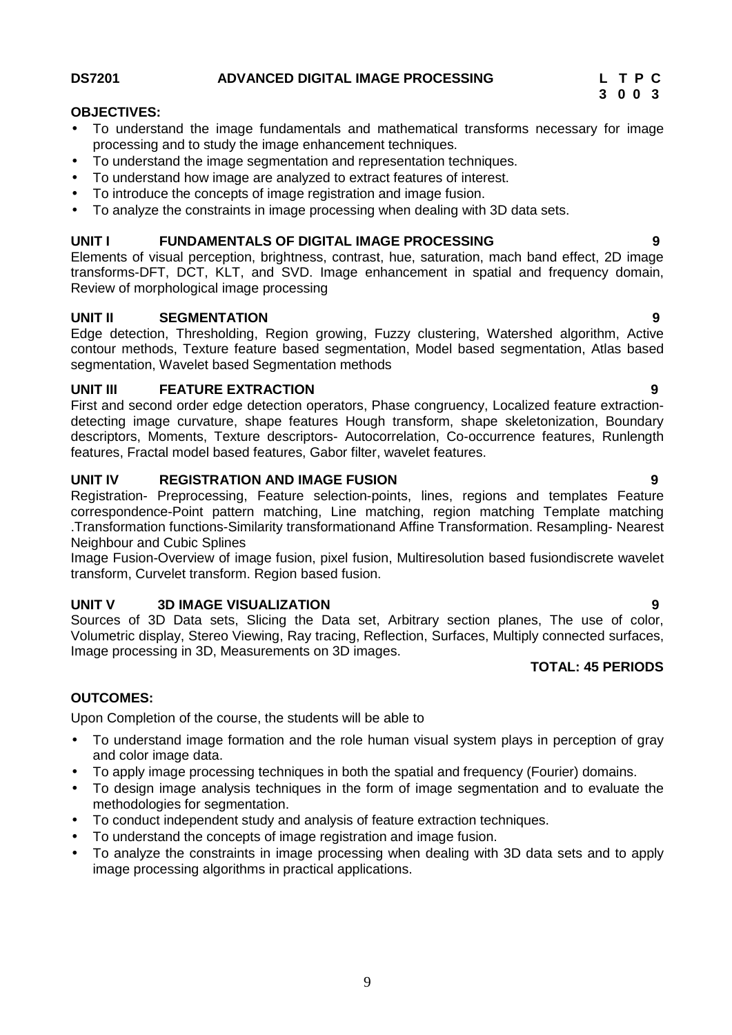#### **DS7201 ADVANCED DIGITAL IMAGE PROCESSING L T P C**

#### **OBJECTIVES:**

- To understand the image fundamentals and mathematical transforms necessary for image processing and to study the image enhancement techniques.
- To understand the image segmentation and representation techniques.
- To understand how image are analyzed to extract features of interest.
- To introduce the concepts of image registration and image fusion.
- To analyze the constraints in image processing when dealing with 3D data sets.

#### **UNIT I FUNDAMENTALS OF DIGITAL IMAGE PROCESSING 9**

Elements of visual perception, brightness, contrast, hue, saturation, mach band effect, 2D image transforms-DFT, DCT, KLT, and SVD. Image enhancement in spatial and frequency domain, Review of morphological image processing

#### **UNIT II SEGMENTATION 9**

Edge detection, Thresholding, Region growing, Fuzzy clustering, Watershed algorithm, Active contour methods, Texture feature based segmentation, Model based segmentation, Atlas based segmentation, Wavelet based Segmentation methods

### **UNIT III FEATURE EXTRACTION 9**

First and second order edge detection operators, Phase congruency, Localized feature extraction detecting image curvature, shape features Hough transform, shape skeletonization, Boundary descriptors, Moments, Texture descriptors- Autocorrelation, Co-occurrence features, Runlength features, Fractal model based features, Gabor filter, wavelet features.

#### **UNIT IV REGISTRATION AND IMAGE FUSION 9**

Registration- Preprocessing, Feature selection-points, lines, regions and templates Feature correspondence-Point pattern matching, Line matching, region matching Template matching .Transformation functions-Similarity transformationand Affine Transformation. Resampling- Nearest Neighbour and Cubic Splines

Image Fusion-Overview of image fusion, pixel fusion, Multiresolution based fusiondiscrete wavelet transform, Curvelet transform. Region based fusion.

### **UNIT V 3D IMAGE VISUALIZATION 9**

Sources of 3D Data sets, Slicing the Data set, Arbitrary section planes, The use of color, Volumetric display, Stereo Viewing, Ray tracing, Reflection, Surfaces, Multiply connected surfaces, Image processing in 3D, Measurements on 3D images.

#### **TOTAL: 45 PERIODS**

### **OUTCOMES:**

Upon Completion of the course, the students will be able to

- To understand image formation and the role human visual system plays in perception of gray and color image data.
- To apply image processing techniques in both the spatial and frequency (Fourier) domains.
- To design image analysis techniques in the form of image segmentation and to evaluate the methodologies for segmentation.
- To conduct independent study and analysis of feature extraction techniques.
- To understand the concepts of image registration and image fusion.
- To analyze the constraints in image processing when dealing with 3D data sets and to apply image processing algorithms in practical applications.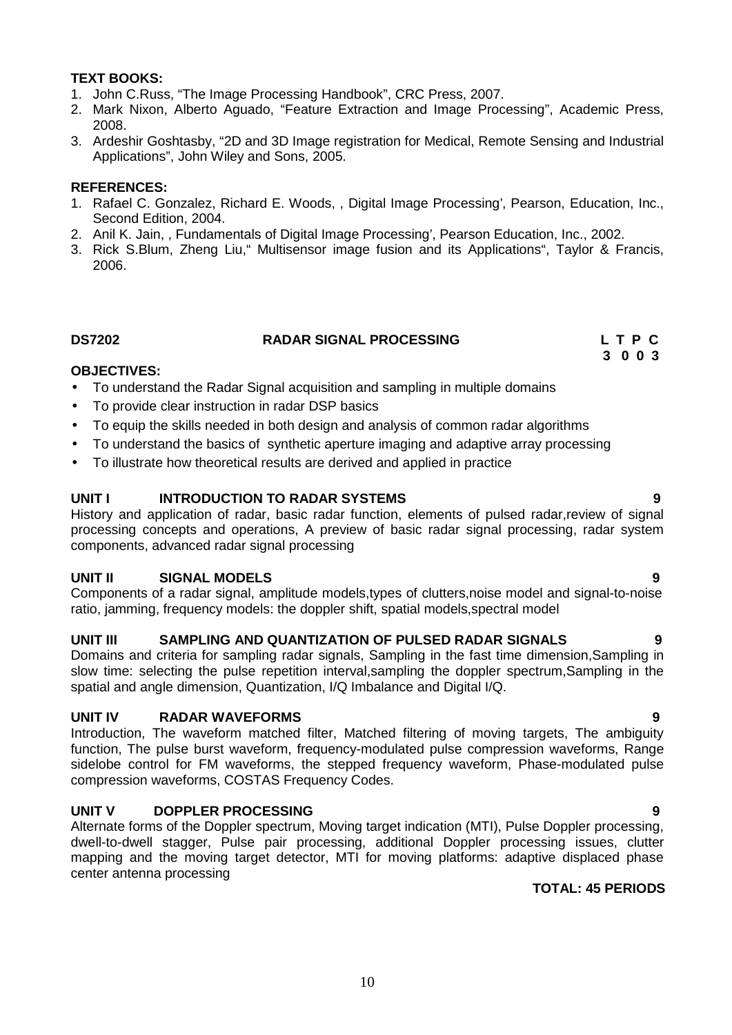#### **TEXT BOOKS:**

- 1. John C.Russ, "The Image Processing Handbook", CRC Press, 2007.
- 2. Mark Nixon, Alberto Aguado, "Feature Extraction and Image Processing", Academic Press, 2008.
- 3. Ardeshir Goshtasby, "2D and 3D Image registration for Medical, Remote Sensing and Industrial Applications", John Wiley and Sons, 2005.

#### **REFERENCES:**

- 1. Rafael C. Gonzalez, Richard E. Woods, , Digital Image Processing', Pearson, Education, Inc., Second Edition, 2004.
- 2. Anil K. Jain, , Fundamentals of Digital Image Processing', Pearson Education, Inc., 2002.
- 3. Rick S.Blum, Zheng Liu," Multisensor image fusion and its Applications", Taylor & Francis, 2006.

#### **DS7202 RADAR SIGNAL PROCESSING L T P C**

**OBJECTIVES:**

- To understand the Radar Signal acquisition and sampling in multiple domains
- To provide clear instruction in radar DSP basics
- To equip the skills needed in both design and analysis of common radar algorithms
- To understand the basics of synthetic aperture imaging and adaptive array processing
- To illustrate how theoretical results are derived and applied in practice

#### **UNIT I INTRODUCTION TO RADAR SYSTEMS 9**

History and application of radar, basic radar function, elements of pulsed radar,review of signal processing concepts and operations, A preview of basic radar signal processing, radar system components, advanced radar signal processing

#### **UNIT II SIGNAL MODELS 9**

Components of a radar signal, amplitude models,types of clutters,noise model and signal-to-noise ratio, jamming, frequency models: the doppler shift, spatial models,spectral model

#### **UNIT III SAMPLING AND QUANTIZATION OF PULSED RADAR SIGNALS 9**

Domains and criteria for sampling radar signals. Sampling in the fast time dimension, Sampling in slow time: selecting the pulse repetition interval,sampling the doppler spectrum,Sampling in the spatial and angle dimension, Quantization, I/Q Imbalance and Digital I/Q.

#### **UNIT IV RADAR WAVEFORMS 9**

Introduction, The waveform matched filter, Matched filtering of moving targets, The ambiguity function, The pulse burst waveform, frequency-modulated pulse compression waveforms, Range sidelobe control for FM waveforms, the stepped frequency waveform, Phase-modulated pulse compression waveforms, COSTAS Frequency Codes.

#### **UNIT V DOPPLER PROCESSING 9**

Alternate forms of the Doppler spectrum, Moving target indication (MTI), Pulse Doppler processing, dwell-to-dwell stagger, Pulse pair processing, additional Doppler processing issues, clutter mapping and the moving target detector, MTI for moving platforms: adaptive displaced phase center antenna processing

#### **TOTAL: 45 PERIODS**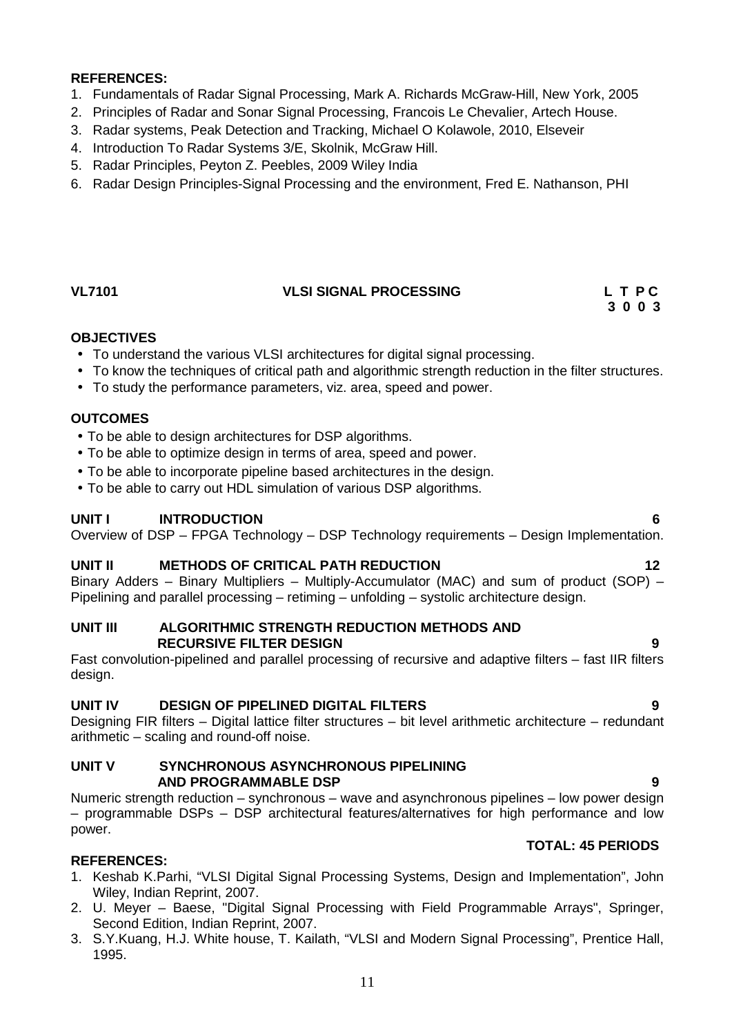#### **REFERENCES:**

- 1. Fundamentals of Radar Signal Processing, Mark A. Richards McGraw-Hill, New York, 2005
- 2. Principles of Radar and Sonar Signal Processing, Francois Le Chevalier, Artech House.
- 3. Radar systems, Peak Detection and Tracking, Michael O Kolawole, 2010, Elseveir
- 4. Introduction To Radar Systems 3/E, Skolnik, McGraw Hill.
- 5. Radar Principles, Peyton Z. Peebles, 2009 Wiley India
- 6. Radar Design Principles-Signal Processing and the environment, Fred E. Nathanson, PHI

#### **VL7101 VLSI SIGNAL PROCESSING L T P C**

# **3 0 0 3**

#### **OBJECTIVES**

- To understand the various VLSI architectures for digital signal processing.
- To know the techniques of critical path and algorithmic strength reduction in the filter structures.
- To study the performance parameters, viz. area, speed and power.

#### **OUTCOMES**

- To be able to design architectures for DSP algorithms.
- To be able to optimize design in terms of area, speed and power.
- To be able to incorporate pipeline based architectures in the design.
- To be able to carry out HDL simulation of various DSP algorithms.

#### **UNIT I INTRODUCTION 6**

Overview of DSP – FPGA Technology – DSP Technology requirements – Design Implementation.

#### **UNIT II METHODS OF CRITICAL PATH REDUCTION 12**

Binary Adders – Binary Multipliers – Multiply-Accumulator (MAC) and sum of product (SOP) – Pipelining and parallel processing – retiming – unfolding – systolic architecture design.

#### **UNIT III ALGORITHMIC STRENGTH REDUCTION METHODS AND RECURSIVE FILTER DESIGN 9**

Fast convolution-pipelined and parallel processing of recursive and adaptive filters – fast IIR filters design.

#### **UNIT IV DESIGN OF PIPELINED DIGITAL FILTERS 9**

Designing FIR filters – Digital lattice filter structures – bit level arithmetic architecture – redundant arithmetic – scaling and round-off noise.

#### **UNIT V SYNCHRONOUS ASYNCHRONOUS PIPELINING AND PROGRAMMABLE DSP 9**

Numeric strength reduction – synchronous – wave and asynchronous pipelines – low power design – programmable DSPs – DSP architectural features/alternatives for high performance and low power.

#### **TOTAL: 45 PERIODS**

#### **REFERENCES:**

- 1. Keshab K.Parhi, "VLSI Digital Signal Processing Systems, Design and Implementation", John Wiley, Indian Reprint, 2007.
- 2. U. Meyer Baese, "Digital Signal Processing with Field Programmable Arrays", Springer, Second Edition, Indian Reprint, 2007.
- 3. S.Y.Kuang, H.J. White house, T. Kailath, "VLSI and Modern Signal Processing", Prentice Hall, 1995.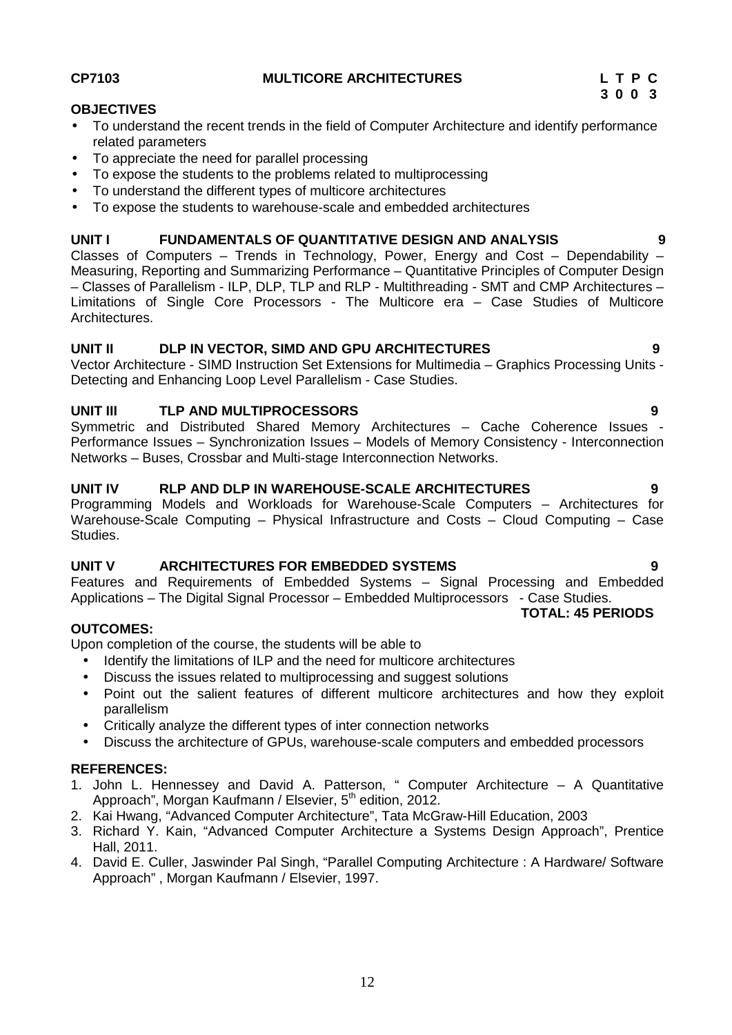#### **CP7103 MULTICORE ARCHITECTURES L T P C**

#### **OBJECTIVES**

- To understand the recent trends in the field of Computer Architecture and identify performance related parameters
- To appreciate the need for parallel processing
- To expose the students to the problems related to multiprocessing
- To understand the different types of multicore architectures
- To expose the students to warehouse-scale and embedded architectures

#### **UNIT I FUNDAMENTALS OF QUANTITATIVE DESIGN AND ANALYSIS 9**

Classes of Computers – Trends in Technology, Power, Energy and Cost – Dependability – Measuring, Reporting and Summarizing Performance – Quantitative Principles of Computer Design – Classes of Parallelism - ILP, DLP, TLP and RLP - Multithreading - SMT and CMP Architectures – Limitations of Single Core Processors - The Multicore era – Case Studies of Multicore Architectures.

#### **UNIT II DLP IN VECTOR, SIMD AND GPU ARCHITECTURES 9**

Vector Architecture - SIMD Instruction Set Extensions for Multimedia – Graphics Processing Units - Detecting and Enhancing Loop Level Parallelism - Case Studies.

#### **UNIT III TLP AND MULTIPROCESSORS 9**

Symmetric and Distributed Shared Memory Architectures – Cache Coherence Issues - Performance Issues – Synchronization Issues – Models of Memory Consistency - Interconnection Networks – Buses, Crossbar and Multi-stage Interconnection Networks.

#### **UNIT IV RLP AND DLP IN WAREHOUSE-SCALE ARCHITECTURES 9**

Programming Models and Workloads for Warehouse-Scale Computers – Architectures for Warehouse-Scale Computing – Physical Infrastructure and Costs – Cloud Computing – Case Studies.

#### **UNIT V ARCHITECTURES FOR EMBEDDED SYSTEMS 9**

Features and Requirements of Embedded Systems – Signal Processing and Embedded Applications – The Digital Signal Processor – Embedded Multiprocessors - Case Studies.

**TOTAL: 45 PERIODS**

#### **OUTCOMES:**

Upon completion of the course, the students will be able to

- Identify the limitations of ILP and the need for multicore architectures
- Discuss the issues related to multiprocessing and suggest solutions
- Point out the salient features of different multicore architectures and how they exploit parallelism
- Critically analyze the different types of inter connection networks
- Discuss the architecture of GPUs, warehouse-scale computers and embedded processors

#### **REFERENCES:**

- 1. John L. Hennessey and David A. Patterson, " Computer Architecture A Quantitative Approach", Morgan Kaufmann / Elsevier, 5<sup>th</sup> edition, 2012.
- 2. Kai Hwang, "Advanced Computer Architecture", Tata McGraw-Hill Education, 2003
- 3. Richard Y. Kain, "Advanced Computer Architecture a Systems Design Approach", Prentice Hall, 2011.
- 4. David E. Culler, Jaswinder Pal Singh, "Parallel Computing Architecture : A Hardware/ Software Approach" , Morgan Kaufmann / Elsevier, 1997.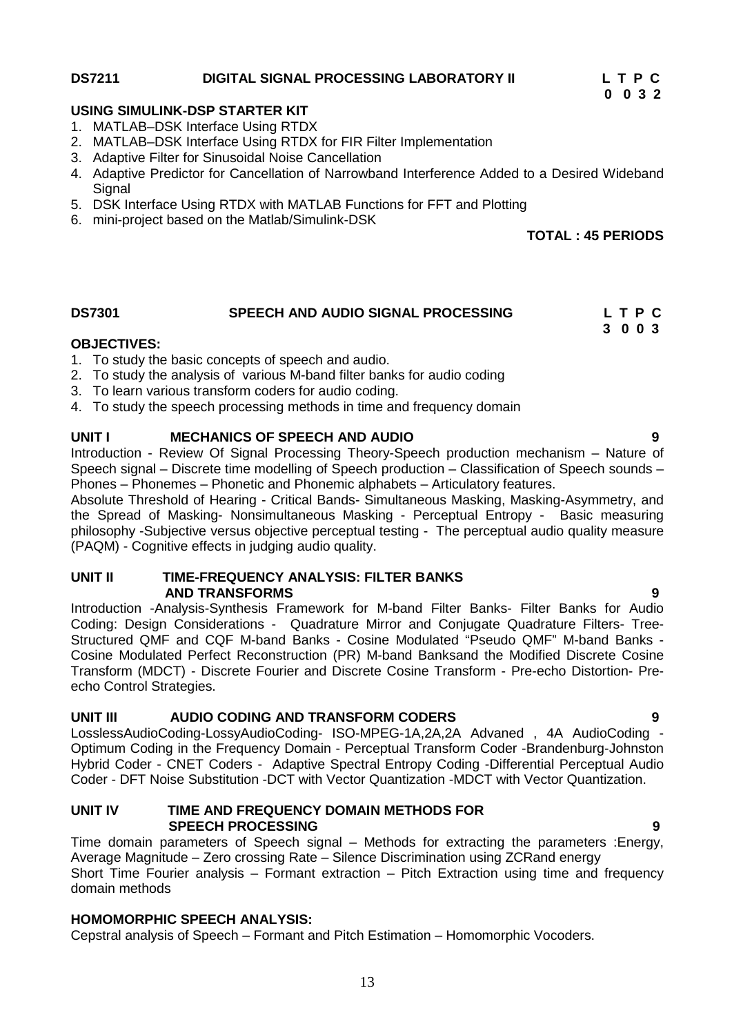### **DS7211 DIGITAL SIGNAL PROCESSING LABORATORY II L T P C**

### **USING SIMULINK-DSP STARTER KIT**

- 1. MATLAB–DSK Interface Using RTDX
- 2. MATLAB–DSK Interface Using RTDX for FIR Filter Implementation
- 3. Adaptive Filter for Sinusoidal Noise Cancellation
- 4. Adaptive Predictor for Cancellation of Narrowband Interference Added to a Desired Wideband Signal
- 5. DSK Interface Using RTDX with MATLAB Functions for FFT and Plotting
- 6. mini-project based on the Matlab/Simulink-DSK

### **TOTAL : 45 PERIODS**

#### **DS7301 SPEECH AND AUDIO SIGNAL PROCESSING L T P C**

#### **OBJECTIVES:**

- 1. To study the basic concepts of speech and audio.
- 2. To study the analysis of various M-band filter banks for audio coding
- 3. To learn various transform coders for audio coding.
- 4. To study the speech processing methods in time and frequency domain

#### **UNIT I MECHANICS OF SPEECH AND AUDIO 9**

Introduction - Review Of Signal Processing Theory-Speech production mechanism – Nature of Speech signal – Discrete time modelling of Speech production – Classification of Speech sounds – Phones – Phonemes – Phonetic and Phonemic alphabets – Articulatory features.

Absolute Threshold of Hearing - Critical Bands- Simultaneous Masking, Masking-Asymmetry, and the Spread of Masking- Nonsimultaneous Masking - Perceptual Entropy - Basic measuring philosophy -Subjective versus objective perceptual testing - The perceptual audio quality measure (PAQM) - Cognitive effects in judging audio quality.

#### **UNIT II TIME-FREQUENCY ANALYSIS: FILTER BANKS AND TRANSFORMS 9**

Introduction -Analysis-Synthesis Framework for M-band Filter Banks- Filter Banks for Audio Coding: Design Considerations - Quadrature Mirror and Conjugate Quadrature Filters- Tree- Structured QMF and CQF M-band Banks - Cosine Modulated "Pseudo QMF" M-band Banks - Cosine Modulated Perfect Reconstruction (PR) M-band Banksand the Modified Discrete Cosine Transform (MDCT) - Discrete Fourier and Discrete Cosine Transform - Pre-echo Distortion- Pre echo Control Strategies.

#### **UNIT III AUDIO CODING AND TRANSFORM CODERS 9**

LosslessAudioCoding-LossyAudioCoding- ISO-MPEG-1A,2A,2A Advaned , 4A AudioCoding - Optimum Coding in the Frequency Domain - Perceptual Transform Coder -Brandenburg-Johnston Hybrid Coder - CNET Coders - Adaptive Spectral Entropy Coding -Differential Perceptual Audio Coder - DFT Noise Substitution -DCT with Vector Quantization -MDCT with Vector Quantization.

#### **UNIT IV TIME AND FREQUENCY DOMAIN METHODS FOR SPEECH PROCESSING 9**

Time domain parameters of Speech signal – Methods for extracting the parameters :Energy, Average Magnitude – Zero crossing Rate – Silence Discrimination using ZCRand energy Short Time Fourier analysis – Formant extraction – Pitch Extraction using time and frequency domain methods

#### **HOMOMORPHIC SPEECH ANALYSIS:**

Cepstral analysis of Speech – Formant and Pitch Estimation – Homomorphic Vocoders.

**0 0 3 2**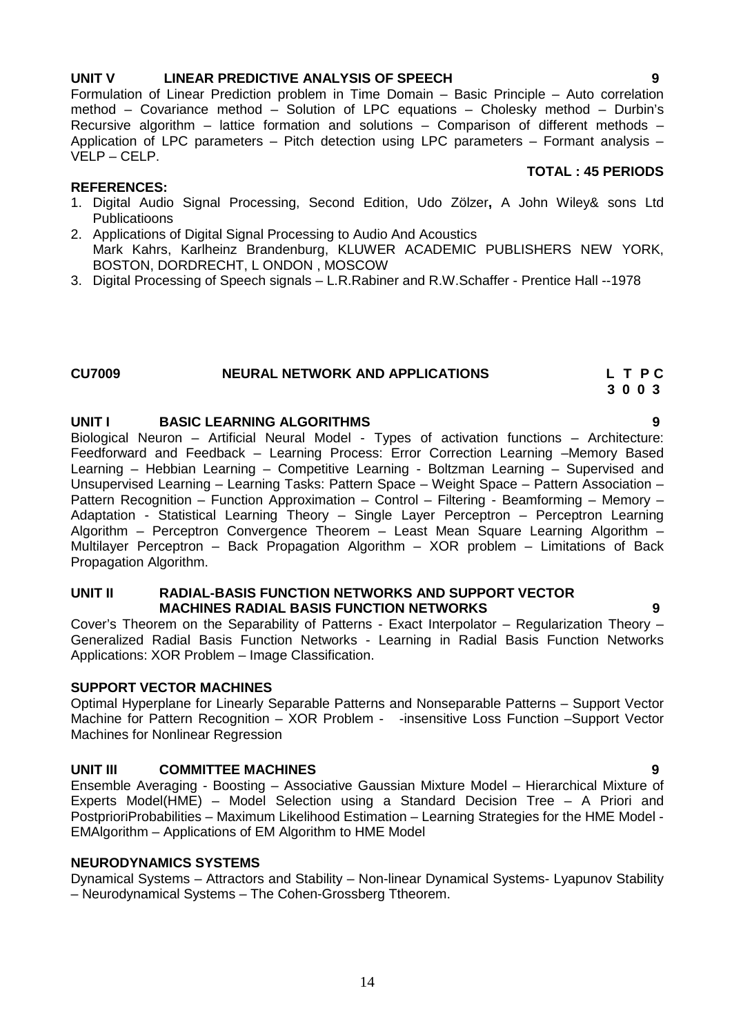## **UNIT V LINEAR PREDICTIVE ANALYSIS OF SPEECH 9**

Formulation of Linear Prediction problem in Time Domain – Basic Principle – Auto correlation method – Covariance method – Solution of LPC equations – Cholesky method – Durbin's Recursive algorithm – lattice formation and solutions – Comparison of different methods – Application of LPC parameters – Pitch detection using LPC parameters – Formant analysis – VELP –CELP. **TOTAL : 45 PERIODS**

#### **REFERENCES:**

- 1. Digital Audio Signal Processing, Second Edition, Udo Zölzer**,** A John Wiley& sons Ltd Publicatioons
- 2. Applications of Digital Signal Processing to Audio And Acoustics Mark Kahrs, Karlheinz Brandenburg, KLUWER ACADEMIC PUBLISHERS NEW YORK, BOSTON, DORDRECHT, L ONDON , MOSCOW
- 3. Digital Processing of Speech signals L.R.Rabiner and R.W.Schaffer Prentice Hall --1978

# **CU7009 NEURAL NETWORK AND APPLICATIONS L T P C**

**UNIT I BASIC LEARNING ALGORITHMS 9** Biological Neuron – Artificial Neural Model - Types of activation functions – Architecture: Feedforward and Feedback – Learning Process: Error Correction Learning –Memory Based Learning – Hebbian Learning – Competitive Learning - Boltzman Learning – Supervised and Unsupervised Learning – Learning Tasks: Pattern Space – Weight Space – Pattern Association – Pattern Recognition – Function Approximation – Control – Filtering - Beamforming – Memory – Adaptation - Statistical Learning Theory – Single Layer Perceptron – Perceptron Learning Algorithm – Perceptron Convergence Theorem – Least Mean Square Learning Algorithm – Multilayer Perceptron – Back Propagation Algorithm – XOR problem – Limitations of Back Propagation Algorithm.

#### **UNIT II RADIAL-BASIS FUNCTION NETWORKS AND SUPPORT VECTOR MACHINES RADIAL BASIS FUNCTION NETWORKS 9**

Cover's Theorem on the Separability of Patterns - Exact Interpolator – Regularization Theory – Generalized Radial Basis Function Networks - Learning in Radial Basis Function Networks Applications: XOR Problem – Image Classification.

#### **SUPPORT VECTOR MACHINES**

Optimal Hyperplane for Linearly Separable Patterns and Nonseparable Patterns – Support Vector Machine for Pattern Recognition – XOR Problem - -insensitive Loss Function –Support Vector Machines for Nonlinear Regression

#### **UNIT III COMMITTEE MACHINES 9**

Ensemble Averaging - Boosting – Associative Gaussian Mixture Model – Hierarchical Mixture of Experts Model(HME) – Model Selection using a Standard Decision Tree – A Priori and PostprioriProbabilities – Maximum Likelihood Estimation – Learning Strategies for the HME Model - EMAlgorithm – Applications of EM Algorithm to HME Model

#### **NEURODYNAMICS SYSTEMS**

Dynamical Systems – Attractors and Stability – Non-linear Dynamical Systems- Lyapunov Stability – Neurodynamical Systems – The Cohen-Grossberg Ttheorem.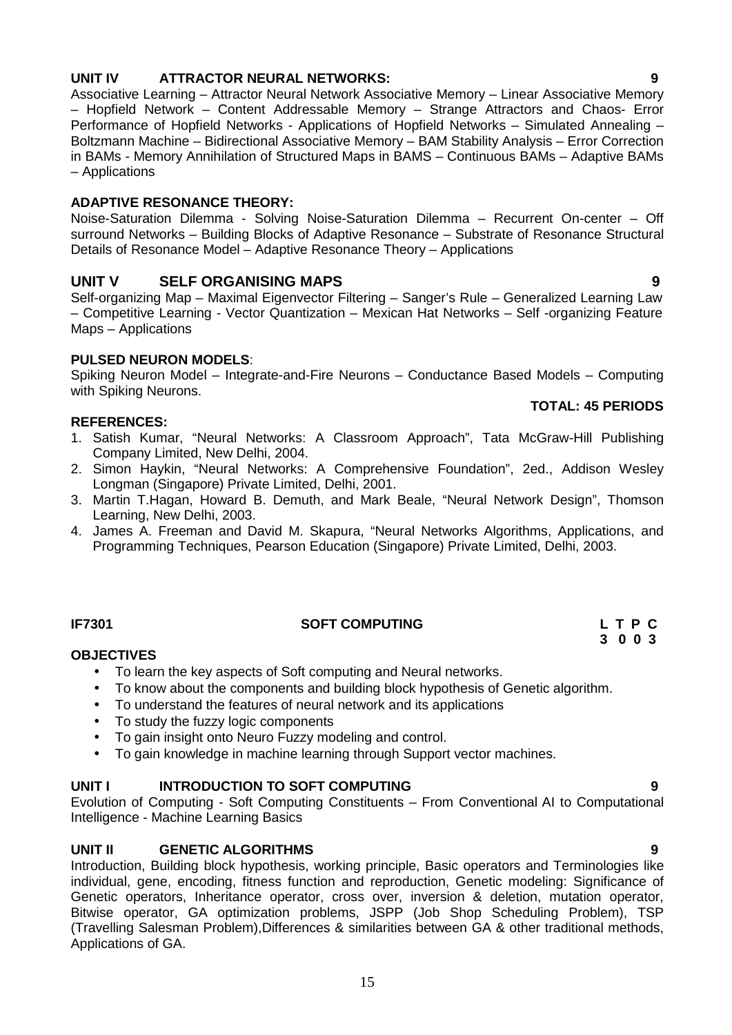# **UNIT IV ATTRACTOR NEURAL NETWORKS: 9**

Associative Learning – Attractor Neural Network Associative Memory – Linear Associative Memory – Hopfield Network – Content Addressable Memory – Strange Attractors and Chaos- Error Performance of Hopfield Networks - Applications of Hopfield Networks – Simulated Annealing – Boltzmann Machine – Bidirectional Associative Memory – BAM Stability Analysis – Error Correction in BAMs - Memory Annihilation of Structured Maps in BAMS – Continuous BAMs – Adaptive BAMs – Applications

#### **ADAPTIVE RESONANCE THEORY:**

Noise-Saturation Dilemma - Solving Noise-Saturation Dilemma – Recurrent On-center – Off surround Networks – Building Blocks of Adaptive Resonance – Substrate of Resonance Structural Details of Resonance Model – Adaptive Resonance Theory – Applications

#### **UNIT V SELF ORGANISING MAPS 9**

Self-organizing Map – Maximal Eigenvector Filtering – Sanger's Rule – Generalized Learning Law – Competitive Learning - Vector Quantization – Mexican Hat Networks – Self-organizing Feature Maps – Applications

#### **PULSED NEURON MODELS**:

Spiking Neuron Model – Integrate-and-Fire Neurons – Conductance Based Models – Computing with Spiking Neurons.

#### **REFERENCES:**

- 1. Satish Kumar, "Neural Networks: A Classroom Approach", Tata McGraw-Hill Publishing Company Limited, New Delhi, 2004.
- 2. Simon Haykin, "Neural Networks: A Comprehensive Foundation", 2ed., Addison Wesley Longman (Singapore) Private Limited, Delhi, 2001.
- 3. Martin T.Hagan, Howard B. Demuth, and Mark Beale, "Neural Network Design", Thomson Learning, New Delhi, 2003.
- 4. James A. Freeman and David M. Skapura, "Neural Networks Algorithms, Applications, and Programming Techniques, Pearson Education (Singapore) Private Limited, Delhi, 2003.

#### **IF7301 SOFT COMPUTING L T P C**

**3 0 0 3**

**TOTAL: 45 PERIODS**

#### **OBJECTIVES**

- To learn the key aspects of Soft computing and Neural networks.
- To know about the components and building block hypothesis of Genetic algorithm.
- To understand the features of neural network and its applications
- To study the fuzzy logic components
- To gain insight onto Neuro Fuzzy modeling and control.
- To gain knowledge in machine learning through Support vector machines.

#### **UNIT I INTRODUCTION TO SOFT COMPUTING 9**

Evolution of Computing - Soft Computing Constituents – From Conventional AI to Computational Intelligence - Machine Learning Basics

#### **UNIT II GENETIC ALGORITHMS 9**

Introduction, Building block hypothesis, working principle, Basic operators and Terminologies like individual, gene, encoding, fitness function and reproduction, Genetic modeling: Significance of Genetic operators, Inheritance operator, cross over, inversion & deletion, mutation operator, Bitwise operator, GA optimization problems, JSPP (Job Shop Scheduling Problem), TSP (Travelling Salesman Problem),Differences & similarities between GA & other traditional methods, Applications of GA.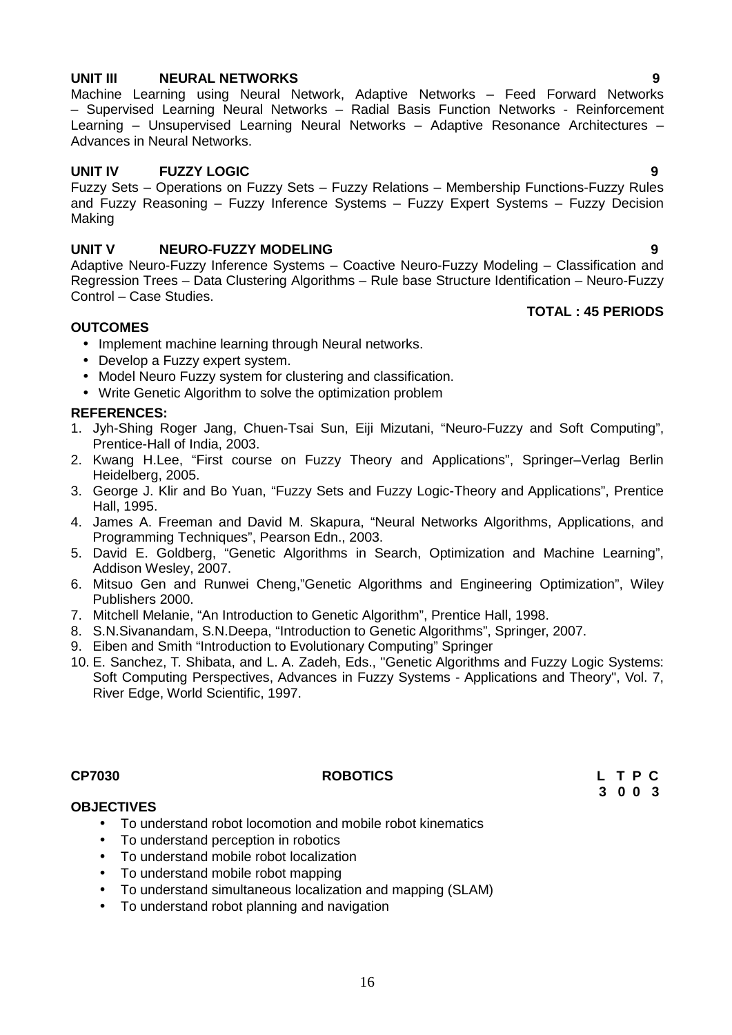#### **UNIT III NEURAL NETWORKS 9**

# **UNIT IV FUZZY LOGIC 9**

Advances in Neural Networks.

Fuzzy Sets – Operations on Fuzzy Sets – Fuzzy Relations – Membership Functions-Fuzzy Rules and Fuzzy Reasoning – Fuzzy Inference Systems – Fuzzy Expert Systems – Fuzzy Decision Making

Machine Learning using Neural Network, Adaptive Networks – Feed Forward Networks – Supervised Learning Neural Networks – Radial Basis Function Networks - Reinforcement Learning – Unsupervised Learning Neural Networks – Adaptive Resonance Architectures –

#### **UNIT V NEURO-FUZZY MODELING 9**

Adaptive Neuro-Fuzzy Inference Systems – Coactive Neuro-Fuzzy Modeling – Classification and Regression Trees – Data Clustering Algorithms – Rule base Structure Identification – Neuro-Fuzzy Control – Case Studies.

#### **OUTCOMES**

- Implement machine learning through Neural networks.
- Develop a Fuzzy expert system.
- Model Neuro Fuzzy system for clustering and classification.
- Write Genetic Algorithm to solve the optimization problem

#### **REFERENCES:**

- 1. Jyh-Shing Roger Jang, Chuen-Tsai Sun, Eiji Mizutani, "Neuro-Fuzzy and Soft Computing", Prentice-Hall of India, 2003.
- 2. Kwang H.Lee, "First course on Fuzzy Theory and Applications", Springer–Verlag Berlin Heidelberg, 2005.
- 3. George J. Klir and Bo Yuan, "Fuzzy Sets and Fuzzy Logic-Theory and Applications", Prentice Hall, 1995.
- 4. James A. Freeman and David M. Skapura, "Neural Networks Algorithms, Applications, and Programming Techniques", Pearson Edn., 2003.
- 5. David E. Goldberg, "Genetic Algorithms in Search, Optimization and Machine Learning", Addison Wesley, 2007.
- 6. Mitsuo Gen and Runwei Cheng,"Genetic Algorithms and Engineering Optimization", Wiley Publishers 2000.
- 7. Mitchell Melanie, "An Introduction to Genetic Algorithm", Prentice Hall, 1998.
- 8. S.N.Sivanandam, S.N.Deepa, "Introduction to Genetic Algorithms", Springer, 2007.
- 9. Eiben and Smith "Introduction to Evolutionary Computing" Springer
- 10. E. Sanchez, T. Shibata, and L. A. Zadeh, Eds., "Genetic Algorithms and Fuzzy Logic Systems: Soft Computing Perspectives, Advances in Fuzzy Systems - Applications and Theory", Vol. 7, River Edge, World Scientific, 1997.

#### **CP7030 ROBOTICS L T P C**

**3 0 0 3**

#### **OBJECTIVES**

- To understand robot locomotion and mobile robot kinematics
- To understand perception in robotics
- To understand mobile robot localization
- To understand mobile robot mapping
- To understand simultaneous localization and mapping (SLAM)
- To understand robot planning and navigation

**TOTAL : 45 PERIODS**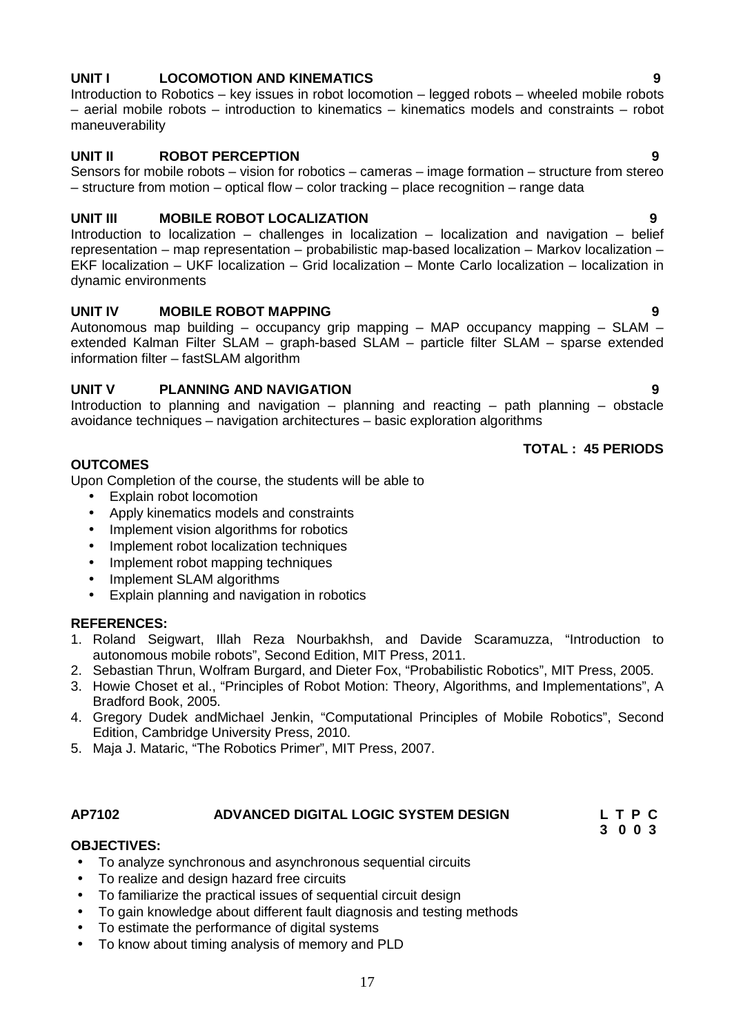### 17

# **UNIT I LOCOMOTION AND KINEMATICS 9**

Introduction to Robotics – key issues in robot locomotion – legged robots – wheeled mobile robots – aerial mobile robots – introduction to kinematics – kinematics models and constraints – robot maneuverability

## **UNIT II ROBOT PERCEPTION 9**

Sensors for mobile robots – vision for robotics – cameras – image formation – structure from stereo – structure from motion – optical flow – color tracking – place recognition – range data

# **UNIT III MOBILE ROBOT LOCALIZATION 9**

Introduction to localization – challenges in localization – localization and navigation – belief representation – map representation – probabilistic map-based localization – Markov localization – EKF localization – UKF localization – Grid localization – Monte Carlo localization – localization in dynamic environments

# **UNIT IV MOBILE ROBOT MAPPING 9**

Autonomous map building – occupancy grip mapping – MAP occupancy mapping – SLAM – extended Kalman Filter SLAM – graph-based SLAM – particle filter SLAM – sparse extended information filter – fastSLAM algorithm

# **UNIT V PLANNING AND NAVIGATION 9**

Introduction to planning and navigation – planning and reacting – path planning – obstacle avoidance techniques – navigation architectures – basic exploration algorithms

**TOTAL : 45 PERIODS**

# **OUTCOMES**

Upon Completion of the course, the students will be able to

- Explain robot locomotion
- Apply kinematics models and constraints
- Implement vision algorithms for robotics
- Implement robot localization techniques
- Implement robot mapping techniques
- Implement SLAM algorithms
- Explain planning and navigation in robotics

# **REFERENCES:**

- 1. Roland Seigwart, Illah Reza Nourbakhsh, and Davide Scaramuzza, "Introduction to autonomous mobile robots", Second Edition, MIT Press, 2011.
- 2. Sebastian Thrun, Wolfram Burgard, and Dieter Fox, "Probabilistic Robotics", MIT Press, 2005.
- 3. Howie Choset et al., "Principles of Robot Motion: Theory, Algorithms, and Implementations", A Bradford Book, 2005.
- 4. Gregory Dudek andMichael Jenkin, "Computational Principles of Mobile Robotics", Second Edition, Cambridge University Press, 2010.
- 5. Maja J. Mataric, "The Robotics Primer", MIT Press, 2007.

# **AP7102 ADVANCED DIGITAL LOGIC SYSTEM DESIGN L T P C**

**3 0 0 3**

# **OBJECTIVES:**

- To analyze synchronous and asynchronous sequential circuits
- To realize and design hazard free circuits
- To familiarize the practical issues of sequential circuit design
- To gain knowledge about different fault diagnosis and testing methods
- To estimate the performance of digital systems
- To know about timing analysis of memory and PLD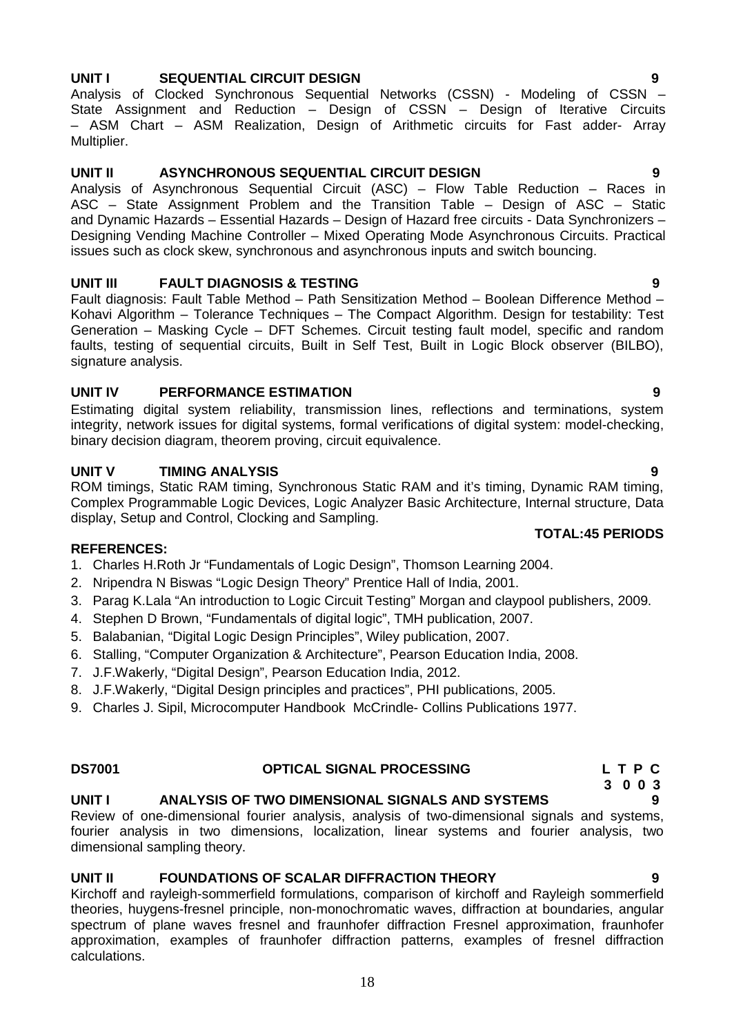# **UNIT I SEQUENTIAL CIRCUIT DESIGN 9**

Analysis of Clocked Synchronous Sequential Networks (CSSN) - Modeling of CSSN – State Assignment and Reduction – Design of CSSN – Design of Iterative Circuits – ASM Chart – ASM Realization, Design of Arithmetic circuits for Fast adder- Array Multiplier.

# **UNIT II ASYNCHRONOUS SEQUENTIAL CIRCUIT DESIGN 9**

Analysis of Asynchronous Sequential Circuit (ASC) – Flow Table Reduction – Races in ASC – State Assignment Problem and the Transition Table – Design of ASC – Static and Dynamic Hazards – Essential Hazards – Design of Hazard free circuits - Data Synchronizers – Designing Vending Machine Controller – Mixed Operating Mode Asynchronous Circuits. Practical issues such as clock skew, synchronous and asynchronous inputs and switch bouncing.

# **UNIT III FAULT DIAGNOSIS & TESTING 9**

Fault diagnosis: Fault Table Method – Path Sensitization Method – Boolean Difference Method – Kohavi Algorithm – Tolerance Techniques – The Compact Algorithm. Design for testability: Test Generation – Masking Cycle – DFT Schemes. Circuit testing fault model, specific and random faults, testing of sequential circuits, Built in Self Test, Built in Logic Block observer (BILBO), signature analysis.

# **UNIT IV PERFORMANCE ESTIMATION 9**

Estimating digital system reliability, transmission lines, reflections and terminations, system integrity, network issues for digital systems, formal verifications of digital system: model-checking, binary decision diagram, theorem proving, circuit equivalence.

# **UNIT V TIMING ANALYSIS 9**

ROM timings, Static RAM timing, Synchronous Static RAM and it's timing, Dynamic RAM timing, Complex Programmable Logic Devices, Logic Analyzer Basic Architecture, Internal structure, Data display, Setup and Control, Clocking and Sampling.

#### **REFERENCES:**

- 1. Charles H.Roth Jr "Fundamentals of Logic Design", Thomson Learning 2004.
- 2. Nripendra N Biswas "Logic Design Theory" Prentice Hall of India, 2001.
- 3. Parag K.Lala "An introduction to Logic Circuit Testing" Morgan and claypool publishers, 2009.
- 4. Stephen D Brown, "Fundamentals of digital logic", TMH publication, 2007.
- 5. Balabanian, "Digital Logic Design Principles", Wiley publication, 2007.
- 6. Stalling, "Computer Organization & Architecture", Pearson Education India, 2008.
- 7. J.F.Wakerly, "Digital Design", Pearson Education India, 2012.
- 8. J.F.Wakerly, "Digital Design principles and practices", PHI publications, 2005.
- 9. Charles J. Sipil, Microcomputer Handbook McCrindle- Collins Publications 1977.

# **DS7001 OPTICAL SIGNAL PROCESSING L T P C**

# **UNIT I ANALYSIS OF TWO DIMENSIONAL SIGNALS AND SYSTEMS 9**

Review of one-dimensional fourier analysis, analysis of two-dimensional signals and systems, fourier analysis in two dimensions, localization, linear systems and fourier analysis, two dimensional sampling theory.

# **UNIT II FOUNDATIONS OF SCALAR DIFFRACTION THEORY 9**

Kirchoff and rayleigh-sommerfield formulations, comparison of kirchoff and Rayleigh sommerfield theories, huygens-fresnel principle, non-monochromatic waves, diffraction at boundaries, angular spectrum of plane waves fresnel and fraunhofer diffraction Fresnel approximation, fraunhofer approximation, examples of fraunhofer diffraction patterns, examples of fresnel diffraction calculations.

18

### **TOTAL:45 PERIODS**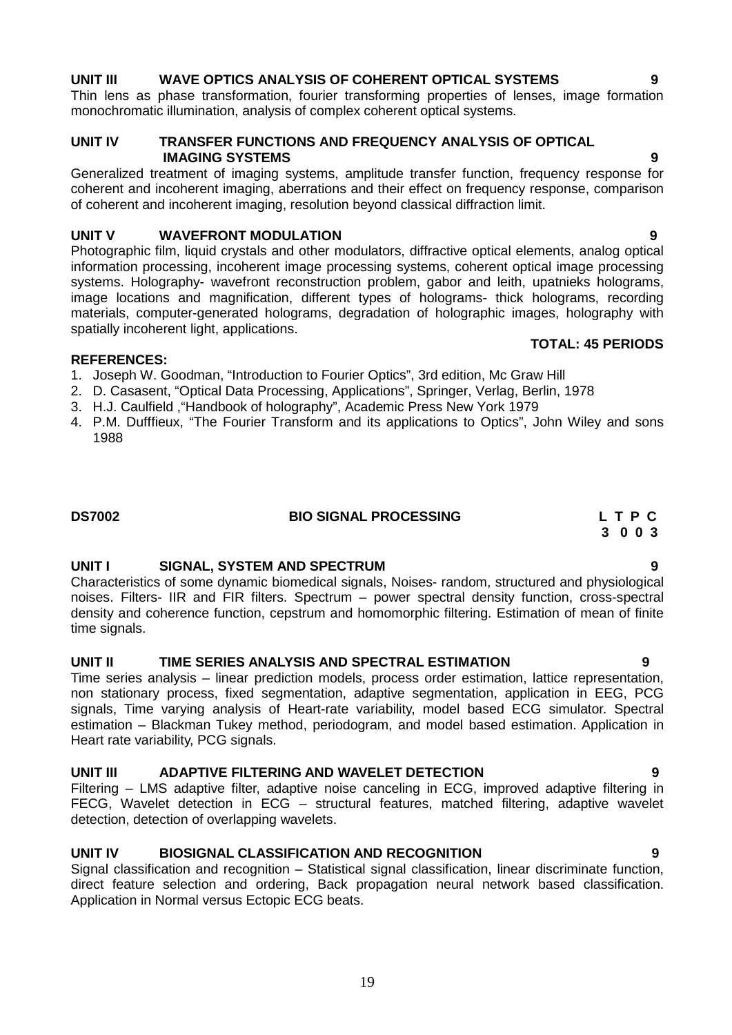### **UNIT III WAVE OPTICS ANALYSIS OF COHERENT OPTICAL SYSTEMS 9**

Thin lens as phase transformation, fourier transforming properties of lenses, image formation monochromatic illumination, analysis of complex coherent optical systems.

#### **UNIT IV TRANSFER FUNCTIONS AND FREQUENCY ANALYSIS OF OPTICAL IMAGING SYSTEMS 9**

Generalized treatment of imaging systems, amplitude transfer function, frequency response for coherent and incoherent imaging, aberrations and their effect on frequency response, comparison of coherent and incoherent imaging, resolution beyond classical diffraction limit.

### **UNIT V WAVEFRONT MODULATION 9**

Photographic film, liquid crystals and other modulators, diffractive optical elements, analog optical information processing, incoherent image processing systems, coherent optical image processing systems. Holography- wavefront reconstruction problem, gabor and leith, upatnieks holograms, image locations and magnification, different types of holograms- thick holograms, recording materials, computer-generated holograms, degradation of holographic images, holography with spatially incoherent light, applications. **TOTAL: 45 PERIODS**

#### **REFERENCES:**

- 1. Joseph W. Goodman, "Introduction to Fourier Optics", 3rd edition, Mc Graw Hill
- 2. D. Casasent, "Optical Data Processing, Applications", Springer, Verlag, Berlin, 1978
- 3. H.J. Caulfield ,"Handbook of holography", Academic Press New York 1979
- 4. P.M. Dufffieux, "The Fourier Transform and its applications to Optics", John Wiley and sons 1988

#### **DS7002 BIO SIGNAL PROCESSING L T P C**

# **UNIT I SIGNAL, SYSTEM AND SPECTRUM 9**

Characteristics of some dynamic biomedical signals, Noises- random, structured and physiological noises. Filters- IIR and FIR filters. Spectrum – power spectral density function, cross-spectral density and coherence function, cepstrum and homomorphic filtering. Estimation of mean of finite time signals.

# **UNIT II TIME SERIES ANALYSIS AND SPECTRAL ESTIMATION 9**

Time series analysis – linear prediction models, process order estimation, lattice representation, non stationary process, fixed segmentation, adaptive segmentation, application in EEG, PCG signals, Time varying analysis of Heart-rate variability, model based ECG simulator. Spectral estimation – Blackman Tukey method, periodogram, and model based estimation. Application in Heart rate variability, PCG signals.

# **UNIT III ADAPTIVE FILTERING AND WAVELET DETECTION 9**

Filtering – LMS adaptive filter, adaptive noise canceling in ECG, improved adaptive filtering in FECG, Wavelet detection in ECG – structural features, matched filtering, adaptive wavelet detection, detection of overlapping wavelets.

### **UNIT IV BIOSIGNAL CLASSIFICATION AND RECOGNITION 9**

Signal classification and recognition – Statistical signal classification, linear discriminate function, direct feature selection and ordering, Back propagation neural network based classification. Application in Normal versus Ectopic ECG beats.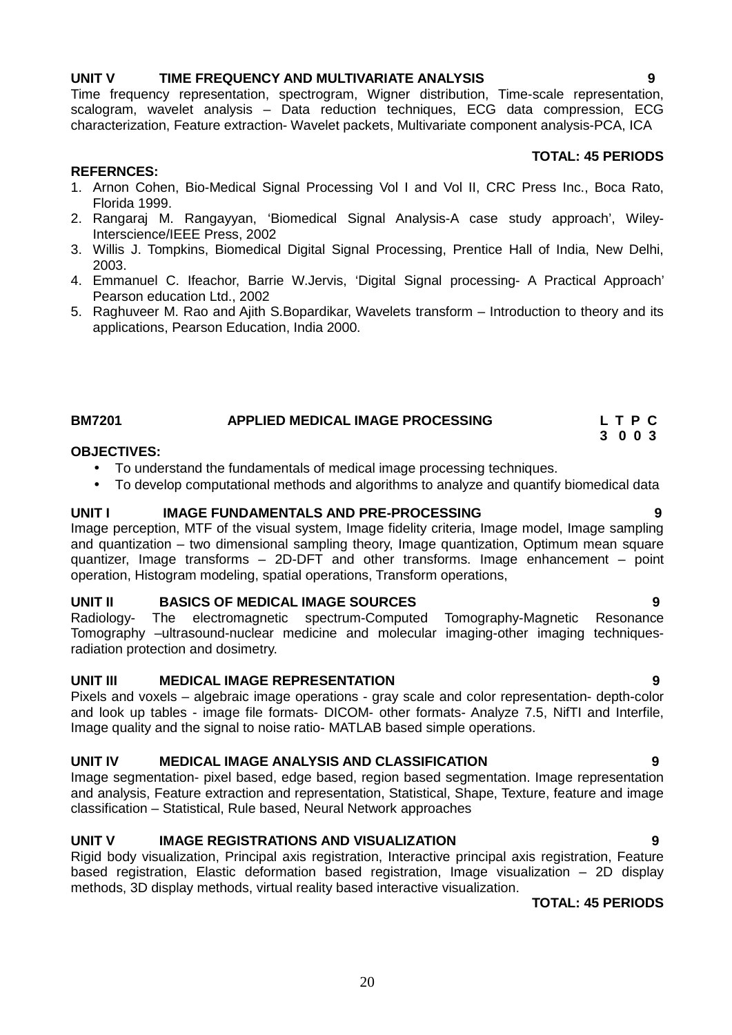# 20

### **UNIT V TIME FREQUENCY AND MULTIVARIATE ANALYSIS 9**

Time frequency representation, spectrogram, Wigner distribution, Time-scale representation, scalogram, wavelet analysis – Data reduction techniques, ECG data compression, ECG characterization, Feature extraction- Wavelet packets, Multivariate component analysis-PCA, ICA

#### **REFERNCES:**

- 1. Arnon Cohen, Bio-Medical Signal Processing Vol I and Vol II, CRC Press Inc., Boca Rato, Florida 1999.
- 2. Rangaraj M. Rangayyan, 'Biomedical Signal Analysis-A case study approach', Wiley-Interscience/IEEE Press, 2002
- 3. Willis J. Tompkins, Biomedical Digital Signal Processing, Prentice Hall of India, New Delhi, 2003.
- 4. Emmanuel C. Ifeachor, Barrie W.Jervis, 'Digital Signal processing- A Practical Approach' Pearson education Ltd., 2002
- 5. Raghuveer M. Rao and Ajith S.Bopardikar, Wavelets transform Introduction to theory and its applications, Pearson Education, India 2000.

#### **BM7201 APPLIED MEDICAL IMAGE PROCESSING L T P C 3 0 0 3**

#### **OBJECTIVES:**

- To understand the fundamentals of medical image processing techniques.
- To develop computational methods and algorithms to analyze and quantify biomedical data

#### **UNIT I IMAGE FUNDAMENTALS AND PRE-PROCESSING 9**

Image perception, MTF of the visual system, Image fidelity criteria, Image model, Image sampling and quantization – two dimensional sampling theory, Image quantization, Optimum mean square quantizer, Image transforms – 2D-DFT and other transforms. Image enhancement – point operation, Histogram modeling, spatial operations, Transform operations,

#### **UNIT II BASICS OF MEDICAL IMAGE SOURCES 9**

Radiology- The electromagnetic spectrum-Computed Tomography-Magnetic Resonance Tomography –ultrasound-nuclear medicine and molecular imaging-other imaging techniquesradiation protection and dosimetry.

#### **UNIT III MEDICAL IMAGE REPRESENTATION 9**

Pixels and voxels – algebraic image operations - gray scale and color representation- depth-color and look up tables - image file formats- DICOM- other formats- Analyze 7.5, NifTI and Interfile, Image quality and the signal to noise ratio- MATLAB based simple operations.

#### **UNIT IV MEDICAL IMAGE ANALYSIS AND CLASSIFICATION 9**

Image segmentation- pixel based, edge based, region based segmentation. Image representation and analysis, Feature extraction and representation, Statistical, Shape, Texture, feature and image classification – Statistical, Rule based, Neural Network approaches

#### **UNIT V IMAGE REGISTRATIONS AND VISUALIZATION 9**

Rigid body visualization, Principal axis registration, Interactive principal axis registration, Feature based registration, Elastic deformation based registration, Image visualization – 2D display methods, 3D display methods, virtual reality based interactive visualization.

#### **TOTAL: 45 PERIODS**

**TOTAL: 45 PERIODS**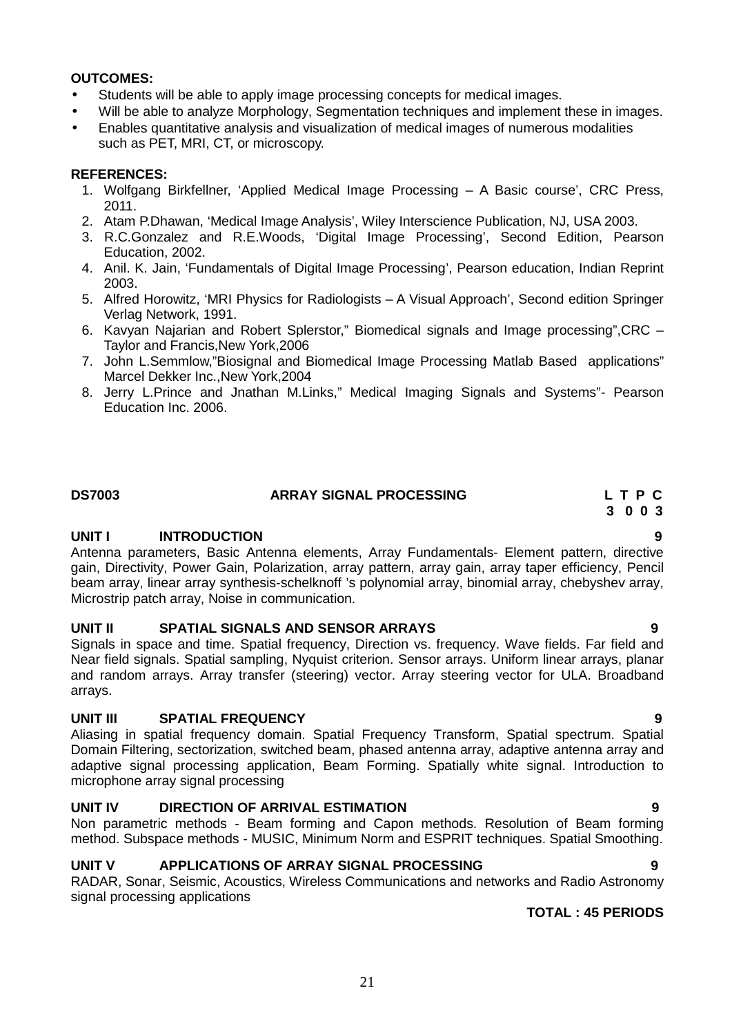#### **OUTCOMES:**

- Students will be able to apply image processing concepts for medical images.
- Will be able to analyze Morphology, Segmentation techniques and implement these in images.
- Enables quantitative analysis and visualization of medical images of numerous modalities such as PET, MRI, CT, or microscopy.

#### **REFERENCES:**

- 1. Wolfgang Birkfellner, 'Applied Medical Image Processing A Basic course', CRC Press, 2011.
- 2. Atam P.Dhawan, 'Medical Image Analysis', Wiley Interscience Publication, NJ, USA 2003.
- 3. R.C.Gonzalez and R.E.Woods, 'Digital Image Processing', Second Edition, Pearson Education, 2002.
- 4. Anil. K. Jain, 'Fundamentals of Digital Image Processing', Pearson education, Indian Reprint 2003.
- 5. Alfred Horowitz, 'MRI Physics for Radiologists A Visual Approach', Second edition Springer Verlag Network, 1991.
- 6. Kavyan Najarian and Robert Splerstor," Biomedical signals and Image processing",CRC Taylor and Francis,New York,2006
- 7. John L.Semmlow,"Biosignal and Biomedical Image Processing Matlab Based applications" Marcel Dekker Inc.,New York,2004
- 8. Jerry L.Prince and Jnathan M.Links," Medical Imaging Signals and Systems"- Pearson Education Inc. 2006.

#### **DS7003 ARRAY SIGNAL PROCESSING L T P C**

# **UNIT I INTRODUCTION 9**

Antenna parameters, Basic Antenna elements, Array Fundamentals- Element pattern, directive gain, Directivity, Power Gain, Polarization, array pattern, array gain, array taper efficiency, Pencil beam array, linear array synthesis-schelknoff 's polynomial array, binomial array, chebyshev array, Microstrip patch array, Noise in communication.

### **UNIT II SPATIAL SIGNALS AND SENSOR ARRAYS 9**

Signals in space and time. Spatial frequency, Direction vs. frequency. Wave fields. Far field and Near field signals. Spatial sampling, Nyquist criterion. Sensor arrays. Uniform linear arrays, planar and random arrays. Array transfer (steering) vector. Array steering vector for ULA. Broadband arrays.

#### **UNIT III SPATIAL FREQUENCY 9**

Aliasing in spatial frequency domain. Spatial Frequency Transform, Spatial spectrum. Spatial Domain Filtering, sectorization, switched beam, phased antenna array, adaptive antenna array and adaptive signal processing application, Beam Forming. Spatially white signal. Introduction to microphone array signal processing

#### **UNIT IV DIRECTION OF ARRIVAL ESTIMATION 9**

Non parametric methods - Beam forming and Capon methods. Resolution of Beam forming method. Subspace methods - MUSIC, Minimum Norm and ESPRIT techniques. Spatial Smoothing.

#### **UNIT V APPLICATIONS OF ARRAY SIGNAL PROCESSING 9**

RADAR, Sonar, Seismic, Acoustics, Wireless Communications and networks and Radio Astronomy signal processing applications

**TOTAL : 45 PERIODS**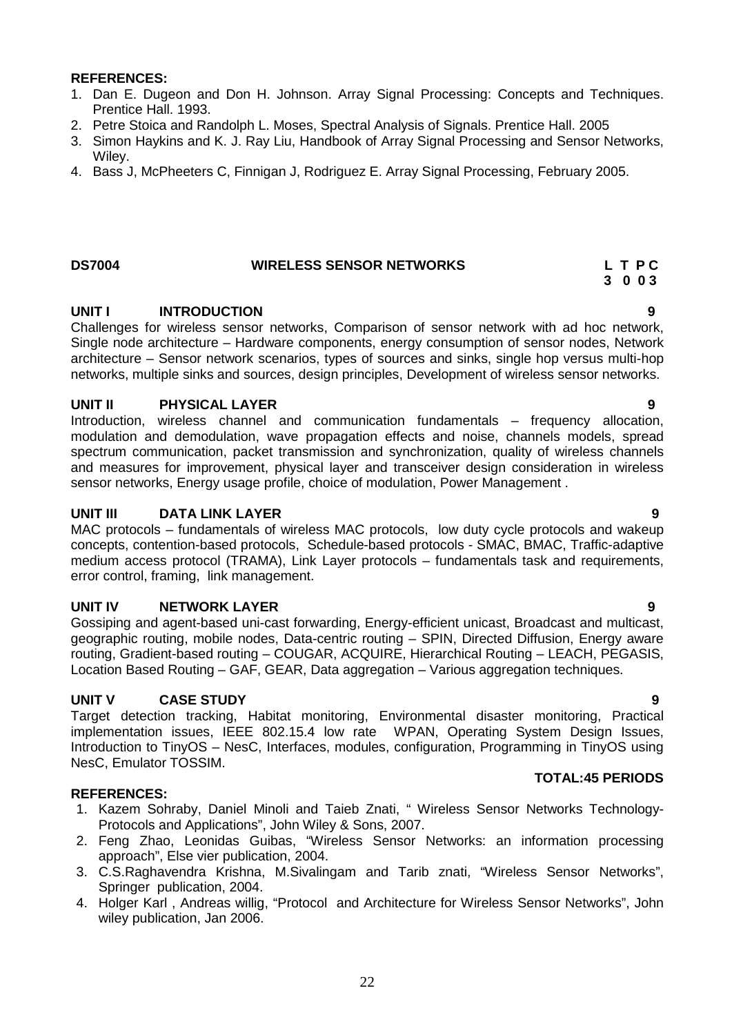#### **REFERENCES:**

- 1. Dan E. Dugeon and Don H. Johnson. Array Signal Processing: Concepts and Techniques. Prentice Hall. 1993.
- 2. Petre Stoica and Randolph L. Moses, Spectral Analysis of Signals. Prentice Hall. 2005
- 3. Simon Haykins and K. J. Ray Liu, Handbook of Array Signal Processing and Sensor Networks, Wiley.
- 4. Bass J, McPheeters C, Finnigan J, Rodriguez E. Array Signal Processing, February 2005.

#### **DS7004 WIRELESS SENSOR NETWORKS L T P C**

#### **UNIT I INTRODUCTION 9**

Challenges for wireless sensor networks, Comparison of sensor network with ad hoc network, Single node architecture – Hardware components, energy consumption of sensor nodes, Network architecture – Sensor network scenarios, types of sources and sinks, single hop versus multi-hop networks, multiple sinks and sources, design principles, Development of wireless sensor networks.

#### **UNIT II PHYSICAL LAYER 9**

Introduction, wireless channel and communication fundamentals – frequency allocation, modulation and demodulation, wave propagation effects and noise, channels models, spread spectrum communication, packet transmission and synchronization, quality of wireless channels and measures for improvement, physical layer and transceiver design consideration in wireless sensor networks, Energy usage profile, choice of modulation, Power Management .

#### **UNIT III DATA LINK LAYER 9**

MAC protocols – fundamentals of wireless MAC protocols, low duty cycle protocols and wakeup concepts, contention-based protocols, Schedule-based protocols - SMAC, BMAC, Traffic-adaptive medium access protocol (TRAMA), Link Layer protocols – fundamentals task and requirements, error control, framing, link management.

#### **UNIT IV NETWORK LAYER 9**

Gossiping and agent-based uni-cast forwarding, Energy-efficient unicast, Broadcast and multicast, geographic routing, mobile nodes, Data-centric routing – SPIN, Directed Diffusion, Energy aware routing, Gradient-based routing – COUGAR, ACQUIRE, Hierarchical Routing – LEACH, PEGASIS, Location Based Routing – GAF, GEAR, Data aggregation – Various aggregation techniques.

#### **UNIT V CASE STUDY 9**

Target detection tracking, Habitat monitoring, Environmental disaster monitoring, Practical implementation issues, IEEE 802.15.4 low rate WPAN, Operating System Design Issues, Introduction to TinyOS – NesC, Interfaces, modules, configuration, Programming in TinyOS using NesC, Emulator TOSSIM.

#### **REFERENCES:**

- 1. Kazem Sohraby, Daniel Minoli and Taieb Znati, " Wireless Sensor Networks Technology- Protocols and Applications", John Wiley & Sons, 2007.
- 2. Feng Zhao, Leonidas Guibas, "Wireless Sensor Networks: an information processing approach", Else vier publication, 2004.
- 3. C.S.Raghavendra Krishna, M.Sivalingam and Tarib znati, "Wireless Sensor Networks", Springer publication, 2004.
- 4. Holger Karl , Andreas willig, "Protocol and Architecture for Wireless Sensor Networks", John wiley publication, Jan 2006.

#### **TOTAL:45 PERIODS**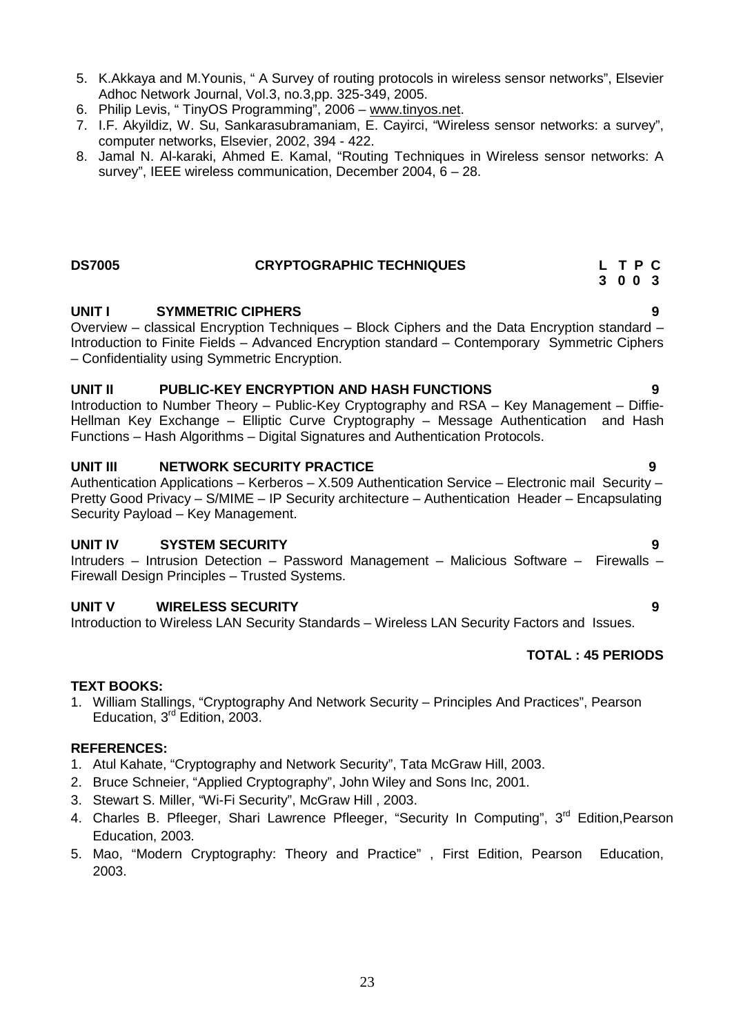- 5. K.Akkaya and M.Younis, " A Survey of routing protocols in wireless sensor networks", Elsevier Adhoc Network Journal, Vol.3, no.3,pp. 325-349, 2005.
- 6. Philip Levis, " TinyOS Programming", 2006 www.tinyos.net.
- 7. I.F. Akyildiz, W. Su, Sankarasubramaniam, E. Cayirci, "Wireless sensor networks: a survey", computer networks, Elsevier, 2002, 394 - 422.
- 8. Jamal N. Al-karaki, Ahmed E. Kamal, "Routing Techniques in Wireless sensor networks: A survey", IEEE wireless communication, December 2004, 6 – 28.

### **DS7005 CRYPTOGRAPHIC TECHNIQUES L T P C**

**UNIT I SYMMETRIC CIPHERS 9** Overview – classical Encryption Techniques – Block Ciphers and the Data Encryption standard –

# Introduction to Finite Fields – Advanced Encryption standard – Contemporary Symmetric Ciphers – Confidentiality using Symmetric Encryption.

#### **UNIT II PUBLIC-KEY ENCRYPTION AND HASH FUNCTIONS 9**

Introduction to Number Theory – Public-Key Cryptography and RSA – Key Management – Diffie- Hellman Key Exchange – Elliptic Curve Cryptography – Message Authentication and Hash Functions – Hash Algorithms – Digital Signatures and Authentication Protocols.

#### **UNIT III NETWORK SECURITY PRACTICE 9**

Authentication Applications – Kerberos – X.509 Authentication Service – Electronic mail Security – Pretty Good Privacy – S/MIME – IP Security architecture – Authentication Header – Encapsulating Security Payload – Key Management.

#### **UNIT IV SYSTEM SECURITY 9**

Intruders – Intrusion Detection – Password Management – Malicious Software – Firewalls – Firewall Design Principles – Trusted Systems.

#### **UNIT V WIRELESS SECURITY 9**

Introduction to Wireless LAN Security Standards – Wireless LAN Security Factors and Issues.

## **TOTAL : 45 PERIODS**

### **TEXT BOOKS:**

1. William Stallings, "Cryptography And Network Security – Principles And Practices", Pearson Education, 3rd Edition, 2003.

#### **REFERENCES:**

- 1. Atul Kahate, "Cryptography and Network Security", Tata McGraw Hill, 2003.
- 2. Bruce Schneier, "Applied Cryptography", John Wiley and Sons Inc, 2001.
- 3. Stewart S. Miller, "Wi-Fi Security", McGraw Hill , 2003.
- 4. Charles B. Pfleeger, Shari Lawrence Pfleeger, "Security In Computing", 3<sup>rd</sup> Edition, Pearson Education, 2003.
- 5. Mao, "Modern Cryptography: Theory and Practice" , First Edition, Pearson Education, 2003.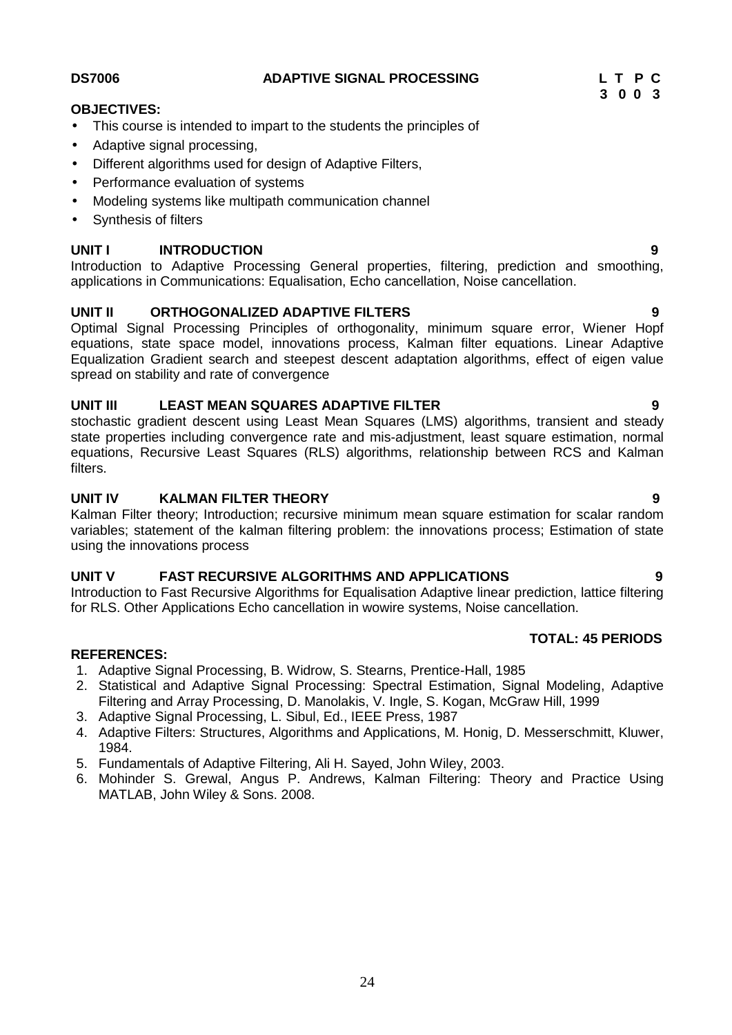#### **DS7006 ADAPTIVE SIGNAL PROCESSING L T P C**

### **OBJECTIVES:**

- This course is intended to impart to the students the principles of
- Adaptive signal processing.
- Different algorithms used for design of Adaptive Filters,
- Performance evaluation of systems
- Modeling systems like multipath communication channel
- Synthesis of filters

### **UNIT I INTRODUCTION 9**

Introduction to Adaptive Processing General properties, filtering, prediction and smoothing, applications in Communications: Equalisation, Echo cancellation, Noise cancellation.

### **UNIT II ORTHOGONALIZED ADAPTIVE FILTERS 9**

Optimal Signal Processing Principles of orthogonality, minimum square error, Wiener Hopf equations, state space model, innovations process, Kalman filter equations. Linear Adaptive Equalization Gradient search and steepest descent adaptation algorithms, effect of eigen value spread on stability and rate of convergence

#### **UNIT III LEAST MEAN SQUARES ADAPTIVE FILTER 9**

stochastic gradient descent using Least Mean Squares (LMS) algorithms, transient and steady state properties including convergence rate and mis-adjustment, least square estimation, normal equations, Recursive Least Squares (RLS) algorithms, relationship between RCS and Kalman filters.

#### **UNIT IV KALMAN FILTER THEORY 9**

Kalman Filter theory; Introduction; recursive minimum mean square estimation for scalar random variables; statement of the kalman filtering problem: the innovations process; Estimation of state using the innovations process

#### **UNIT V FAST RECURSIVE ALGORITHMS AND APPLICATIONS 9**

Introduction to Fast Recursive Algorithms for Equalisation Adaptive linear prediction, lattice filtering for RLS. Other Applications Echo cancellation in wowire systems, Noise cancellation.

#### **REFERENCES:**

- 1. Adaptive Signal Processing, B. Widrow, S. Stearns, Prentice-Hall, 1985
- 2. Statistical and Adaptive Signal Processing: Spectral Estimation, Signal Modeling, Adaptive Filtering and Array Processing, D. Manolakis, V. Ingle, S. Kogan, McGraw Hill, 1999
- 3. Adaptive Signal Processing, L. Sibul, Ed., IEEE Press, 1987
- 4. Adaptive Filters: Structures, Algorithms and Applications, M. Honig, D. Messerschmitt, Kluwer, 1984.
- 5. Fundamentals of Adaptive Filtering, Ali H. Sayed, John Wiley, 2003.
- 6. Mohinder S. Grewal, Angus P. Andrews, Kalman Filtering: Theory and Practice Using MATLAB, John Wiley & Sons. 2008.

**3 0 0 3**

**TOTAL: 45 PERIODS**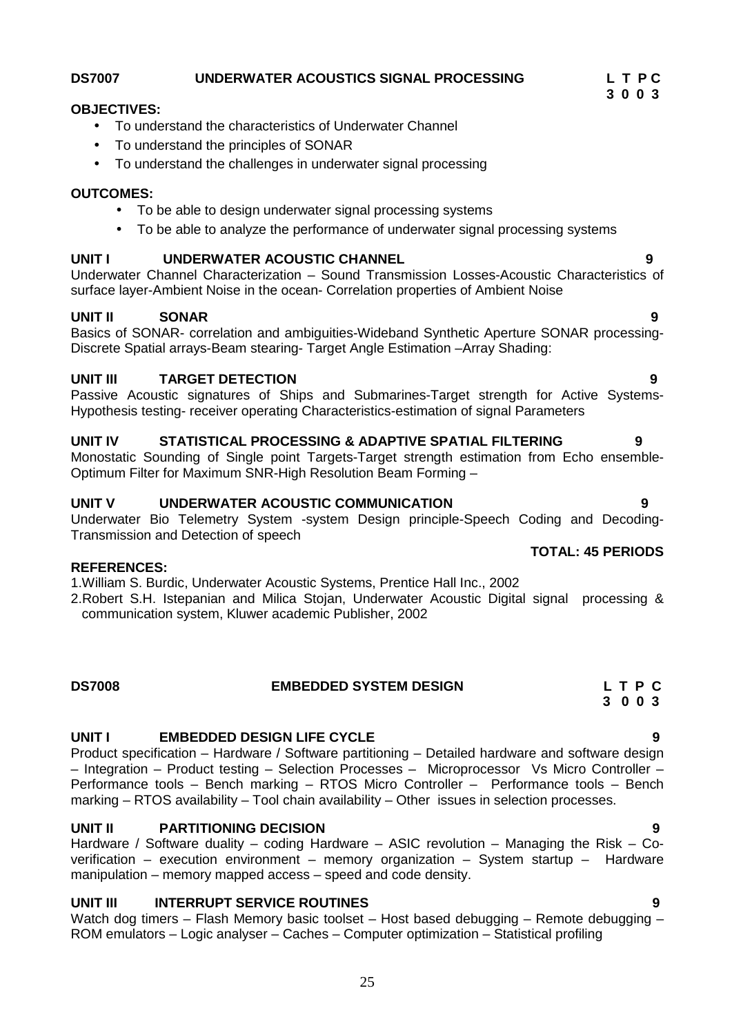### **DS7007 UNDERWATER ACOUSTICS SIGNAL PROCESSING L T P C**

#### **OBJECTIVES:**

- To understand the characteristics of Underwater Channel
- To understand the principles of SONAR
- To understand the challenges in underwater signal processing

#### **OUTCOMES:**

- To be able to design underwater signal processing systems
- To be able to analyze the performance of underwater signal processing systems

#### **UNIT I UNDERWATER ACOUSTIC CHANNEL 9**

Underwater Channel Characterization – Sound Transmission Losses-Acoustic Characteristics of surface layer-Ambient Noise in the ocean- Correlation properties of Ambient Noise

### **UNIT II SONAR 9**

Basics of SONAR- correlation and ambiguities-Wideband Synthetic Aperture SONAR processing- Discrete Spatial arrays-Beam stearing- Target Angle Estimation –Array Shading:

#### **UNIT III TARGET DETECTION 9**

Passive Acoustic signatures of Ships and Submarines-Target strength for Active Systems- Hypothesis testing- receiver operating Characteristics-estimation of signal Parameters

#### **UNIT IV STATISTICAL PROCESSING & ADAPTIVE SPATIAL FILTERING 9**

Monostatic Sounding of Single point Targets-Target strength estimation from Echo ensemble- Optimum Filter for Maximum SNR-High Resolution Beam Forming –

#### **UNIT V UNDERWATER ACOUSTIC COMMUNICATION 9**

Underwater Bio Telemetry System -system Design principle-Speech Coding and Decoding- Transmission and Detection of speech

#### **REFERENCES:**

1.William S. Burdic, Underwater Acoustic Systems, Prentice Hall Inc., 2002

2.Robert S.H. Istepanian and Milica Stojan, Underwater Acoustic Digital signal processing & communication system, Kluwer academic Publisher, 2002

**DS7008 EMBEDDED SYSTEM DESIGN L T P C**

#### **UNIT I EMBEDDED DESIGN LIFE CYCLE 9**

Product specification – Hardware / Software partitioning – Detailed hardware and software design – Integration – Product testing – Selection Processes – Microprocessor Vs Micro Controller – Performance tools – Bench marking – RTOS Micro Controller – Performance tools – Bench marking – RTOS availability – Tool chain availability – Other issues in selection processes.

#### **UNIT II PARTITIONING DECISION 9**

Hardware / Software duality – coding Hardware – ASIC revolution – Managing the Risk – Co verification – execution environment – memory organization – System startup – Hardware manipulation – memory mapped access – speed and code density.

#### **UNIT III INTERRUPT SERVICE ROUTINES 9**

Watch dog timers – Flash Memory basic toolset – Host based debugging – Remote debugging – ROM emulators – Logic analyser – Caches – Computer optimization – Statistical profiling

### **TOTAL: 45 PERIODS**

# **3 0 0 3**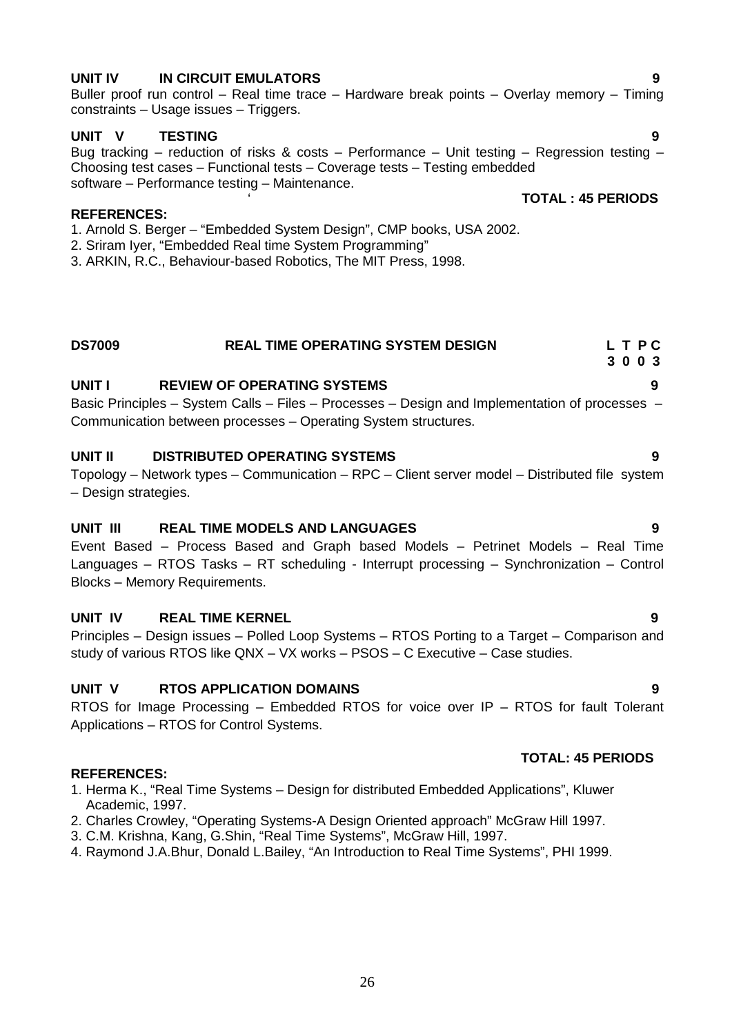# **UNIT IV IN CIRCUIT EMULATORS 9**

### Buller proof run control – Real time trace – Hardware break points – Overlay memory – Timing constraints – Usage issues – Triggers.

# **UNIT V TESTING 9**

Bug tracking – reduction of risks & costs – Performance – Unit testing – Regression testing – Choosing test cases – Functional tests – Coverage tests – Testing embedded software – Performance testing – Maintenance.

#### **REFERENCES:**

1. Arnold S. Berger – "Embedded System Design", CMP books, USA 2002.

2. Sriram Iyer, "Embedded Real time System Programming"

3. ARKIN, R.C., Behaviour-based Robotics, The MIT Press, 1998.

| <b>DS7009</b> | <b>REAL TIME OPERATING SYSTEM DESIGN</b> | LTPC |  |
|---------------|------------------------------------------|------|--|
|               |                                          | 3003 |  |

# **UNIT I REVIEW OF OPERATING SYSTEMS 9**

Basic Principles – System Calls – Files – Processes – Design and Implementation of processes – Communication between processes – Operating System structures.

### **UNIT II DISTRIBUTED OPERATING SYSTEMS 9**

Topology – Network types – Communication – RPC – Client server model – Distributed file system – Design strategies.

### **UNIT III REAL TIME MODELS AND LANGUAGES 9**

Event Based – Process Based and Graph based Models – Petrinet Models – Real Time Languages – RTOS Tasks – RT scheduling - Interrupt processing – Synchronization – Control Blocks – Memory Requirements.

### **UNIT IV REAL TIME KERNEL 9**

Principles – Design issues – Polled Loop Systems – RTOS Porting to a Target – Comparison and study of various RTOS like QNX –VX works – PSOS –C Executive – Case studies.

### **UNIT V RTOS APPLICATION DOMAINS 9**

RTOS for Image Processing – Embedded RTOS for voice over IP – RTOS for fault Tolerant Applications – RTOS for Control Systems.

#### **REFERENCES:**

- 1. Herma K., "Real Time Systems Design for distributed Embedded Applications", Kluwer Academic, 1997.
- 2. Charles Crowley, "Operating Systems-A Design Oriented approach" McGraw Hill 1997.
- 3. C.M. Krishna, Kang, G.Shin, "Real Time Systems", McGraw Hill, 1997.
- 4. Raymond J.A.Bhur, Donald L.Bailey, "An Introduction to Real Time Systems", PHI 1999.

# ` **TOTAL : 45 PERIODS**

**TOTAL: 45 PERIODS**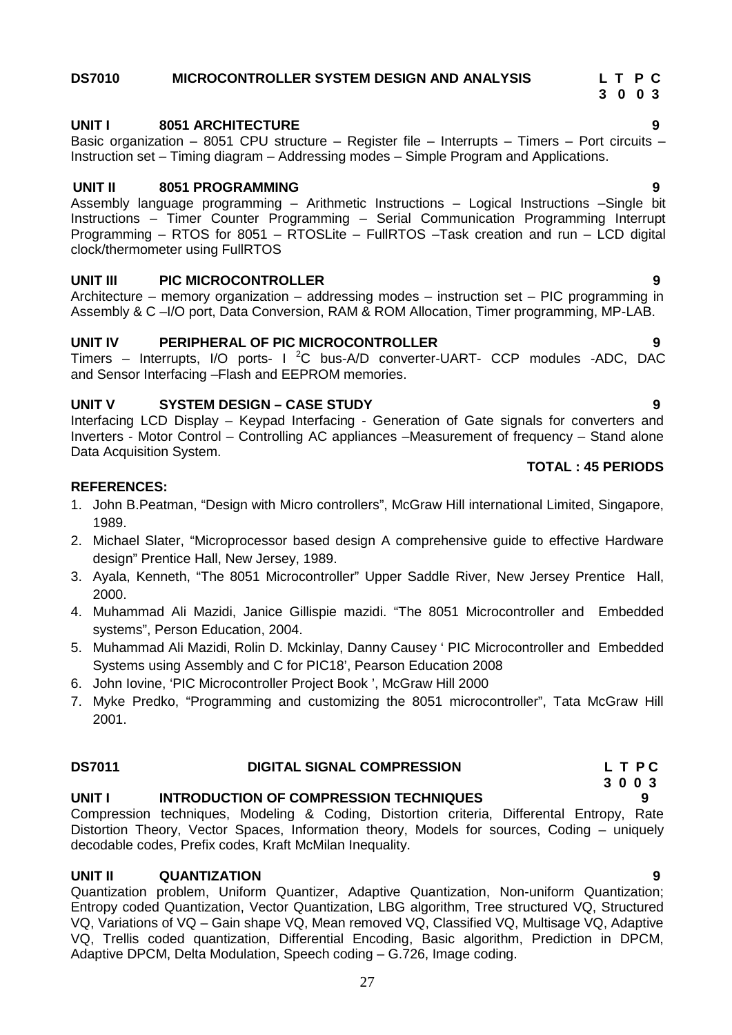# **DS7010 MICROCONTROLLER SYSTEM DESIGN AND ANALYSIS L T P C**

# **UNIT I 8051 ARCHITECTURE 9**

Basic organization – 8051 CPU structure – Register file – Interrupts – Timers – Port circuits – Instruction set – Timing diagram – Addressing modes – Simple Program and Applications.

### **UNIT II 8051 PROGRAMMING 9**

Assembly language programming – Arithmetic Instructions – Logical Instructions –Single bit Instructions – Timer Counter Programming – Serial Communication Programming Interrupt Programming – RTOS for 8051 – RTOSLite – FullRTOS –Task creation and run – LCD digital clock/thermometer using FullRTOS

### **UNIT III PIC MICROCONTROLLER 9**

Architecture – memory organization – addressing modes – instruction set – PIC programming in Assembly & C –I/O port, Data Conversion, RAM & ROM Allocation, Timer programming, MP-LAB.

#### **UNIT IV PERIPHERAL OF PIC MICROCONTROLLER 9**

Timers – Interrupts, I/O ports- I  ${}^{2}C$  bus-A/D converter-UART- CCP modules -ADC, DAC and Sensor Interfacing –Flash and EEPROM memories.

#### **UNIT V SYSTEM DESIGN – CASE STUDY 9**

Interfacing LCD Display – Keypad Interfacing - Generation of Gate signals for converters and Inverters - Motor Control – Controlling AC appliances –Measurement of frequency – Stand alone Data Acquisition System.

#### **REFERENCES:**

- 1. John B.Peatman, "Design with Micro controllers", McGraw Hill international Limited, Singapore, 1989.
- 2. Michael Slater, "Microprocessor based design A comprehensive guide to effective Hardware design" Prentice Hall, New Jersey, 1989.
- 3. Ayala, Kenneth, "The 8051 Microcontroller" Upper Saddle River, New Jersey Prentice Hall, 2000.
- 4. Muhammad Ali Mazidi, Janice Gillispie mazidi. "The 8051 Microcontroller and Embedded systems", Person Education, 2004.
- 5. Muhammad Ali Mazidi, Rolin D. Mckinlay, Danny Causey ' PIC Microcontroller and Embedded Systems using Assembly and C for PIC18', Pearson Education 2008
- 6. John Iovine, 'PIC Microcontroller Project Book ', McGraw Hill 2000
- 7. Myke Predko, "Programming and customizing the 8051 microcontroller", Tata McGraw Hill 2001.

#### **DS7011 DIGITAL SIGNAL COMPRESSION L T P C**

### **UNIT I INTRODUCTION OF COMPRESSION TECHNIQUES 9**

Compression techniques, Modeling & Coding, Distortion criteria, Differental Entropy, Rate Distortion Theory, Vector Spaces, Information theory, Models for sources, Coding – uniquely decodable codes, Prefix codes, Kraft McMilan Inequality.

#### **UNIT II QUANTIZATION 9**

Quantization problem, Uniform Quantizer, Adaptive Quantization, Non-uniform Quantization; Entropy coded Quantization, Vector Quantization, LBG algorithm, Tree structured VQ, Structured VQ, Variations of VQ – Gain shape VQ, Mean removed VQ, Classified VQ, Multisage VQ, Adaptive VQ, Trellis coded quantization, Differential Encoding, Basic algorithm, Prediction in DPCM, Adaptive DPCM, Delta Modulation, Speech coding – G.726, Image coding.

### **TOTAL : 45 PERIODS**

**3 0 0 3**

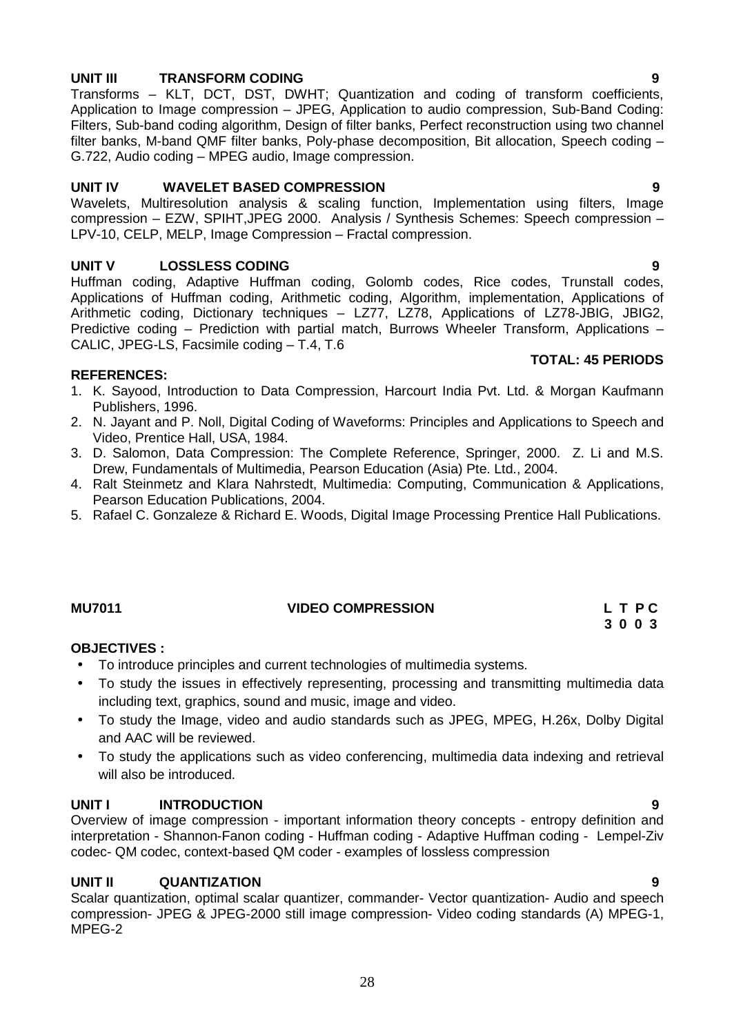# **UNIT III TRANSFORM CODING 9**

Transforms – KLT, DCT, DST, DWHT; Quantization and coding of transform coefficients, Application to Image compression – JPEG, Application to audio compression, Sub-Band Coding: Filters, Sub-band coding algorithm, Design of filter banks, Perfect reconstruction using two channel filter banks, M-band QMF filter banks, Poly-phase decomposition, Bit allocation, Speech coding – G.722, Audio coding – MPEG audio, Image compression.

#### **UNIT IV WAVELET BASED COMPRESSION 9**

Wavelets, Multiresolution analysis & scaling function, Implementation using filters, Image compression – EZW, SPIHT,JPEG 2000. Analysis / Synthesis Schemes: Speech compression – LPV-10, CELP, MELP, Image Compression – Fractal compression.

#### **UNIT V LOSSLESS CODING 9**

Huffman coding, Adaptive Huffman coding, Golomb codes, Rice codes, Trunstall codes, Applications of Huffman coding, Arithmetic coding, Algorithm, implementation, Applications of Arithmetic coding, Dictionary techniques – LZ77, LZ78, Applications of LZ78-JBIG, JBIG2, Predictive coding – Prediction with partial match, Burrows Wheeler Transform, Applications – CALIC, JPEG-LS, Facsimile coding – T.4, T.6

#### **REFERENCES:**

- 1. K. Sayood, Introduction to Data Compression, Harcourt India Pvt. Ltd. & Morgan Kaufmann Publishers, 1996.
- 2. N. Jayant and P. Noll, Digital Coding of Waveforms: Principles and Applications to Speech and Video, Prentice Hall, USA, 1984.
- 3. D. Salomon, Data Compression: The Complete Reference, Springer, 2000. Z. Li and M.S. Drew, Fundamentals of Multimedia, Pearson Education (Asia) Pte. Ltd., 2004.
- 4. Ralt Steinmetz and Klara Nahrstedt, Multimedia: Computing, Communication & Applications, Pearson Education Publications, 2004.
- 5. Rafael C. Gonzaleze & Richard E. Woods, Digital Image Processing Prentice Hall Publications.

#### **OBJECTIVES :**

- To introduce principles and current technologies of multimedia systems.
- To study the issues in effectively representing, processing and transmitting multimedia data including text, graphics, sound and music, image and video.
- To study the Image, video and audio standards such as JPEG, MPEG, H.26x, Dolby Digital and AAC will be reviewed.
- To study the applications such as video conferencing, multimedia data indexing and retrieval will also be introduced.

#### **UNIT I INTRODUCTION 9**

Overview of image compression - important information theory concepts - entropy definition and interpretation - Shannon-Fanon coding - Huffman coding - Adaptive Huffman coding - Lempel-Ziv codec- QM codec, context-based QM coder - examples of lossless compression

#### **UNIT II QUANTIZATION 9**

Scalar quantization, optimal scalar quantizer, commander- Vector quantization- Audio and speech compression- JPEG & JPEG-2000 still image compression- Video coding standards (A) MPEG-1, MPEG-2

#### **TOTAL: 45 PERIODS**

# **MU7011 VIDEO COMPRESSION L T P C**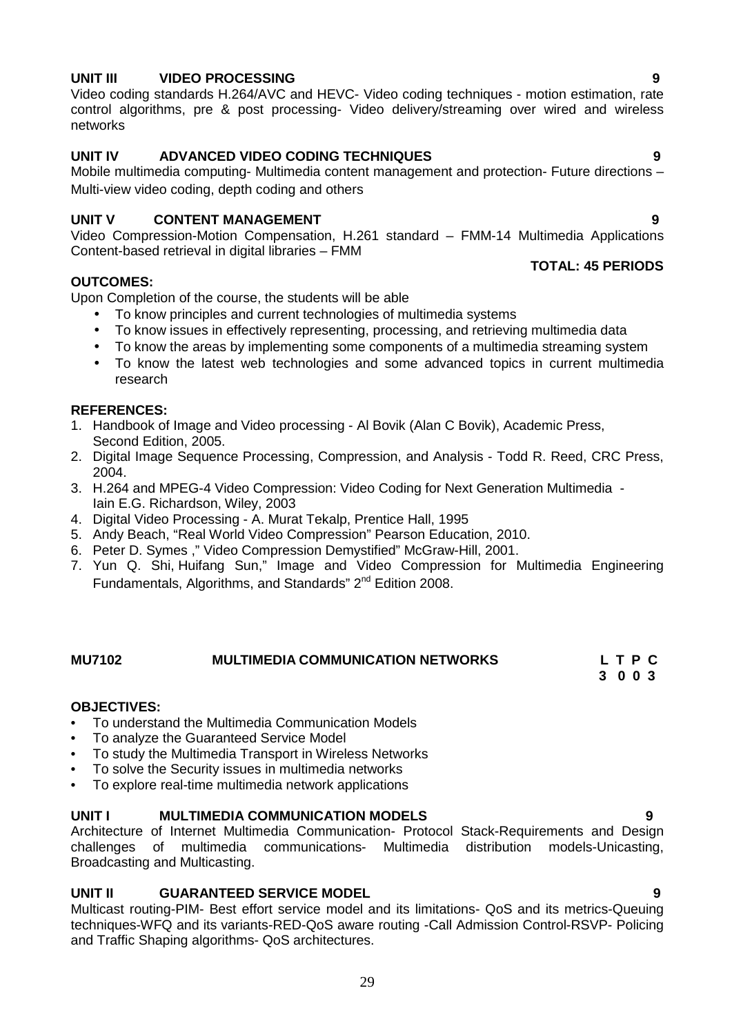### **UNIT III VIDEO PROCESSING 9**

Video coding standards H.264/AVC and HEVC- Video coding techniques - motion estimation, rate control algorithms, pre & post processing- Video delivery/streaming over wired and wireless networks

### **UNIT IV ADVANCED VIDEO CODING TECHNIQUES 9**

Mobile multimedia computing- Multimedia content management and protection- Future directions – Multi-view video coding, depth coding and others

#### **UNIT V CONTENT MANAGEMENT 9**

Video Compression-Motion Compensation, H.261 standard – FMM-14 Multimedia Applications Content-based retrieval in digital libraries – FMM **TOTAL: 45 PERIODS**

#### **OUTCOMES:**

Upon Completion of the course, the students will be able

- To know principles and current technologies of multimedia systems
- To know issues in effectively representing, processing, and retrieving multimedia data
- To know the areas by implementing some components of a multimedia streaming system
- To know the latest web technologies and some advanced topics in current multimedia research

#### **REFERENCES:**

- 1. Handbook of Image and Video processing Al Bovik (Alan C Bovik), Academic Press, Second Edition, 2005.
- 2. Digital Image Sequence Processing, Compression, and Analysis Todd R. Reed, CRC Press, 2004.
- 3. H.264 and MPEG-4 Video Compression: Video Coding for Next Generation Multimedia Iain E.G. Richardson, Wiley, 2003
- 4. Digital Video Processing A. Murat Tekalp, Prentice Hall, 1995
- 5. Andy Beach, "Real World Video Compression" Pearson Education, 2010.
- 6. Peter D. Symes ," Video Compression Demystified" McGraw-Hill, 2001.
- 7. Yun Q. Shi, Huifang Sun," Image and Video Compression for Multimedia Engineering Fundamentals, Algorithms, and Standards" 2nd Edition 2008.

#### **MU7102 MULTIMEDIA COMMUNICATION NETWORKS L T P C 3 0 0 3**

#### **OBJECTIVES:**

- To understand the Multimedia Communication Models
- To analyze the Guaranteed Service Model
- To study the Multimedia Transport in Wireless Networks
- To solve the Security issues in multimedia networks
- To explore real-time multimedia network applications

#### **UNIT I MULTIMEDIA COMMUNICATION MODELS 9**

Architecture of Internet Multimedia Communication- Protocol Stack-Requirements and Design challenges of multimedia communications- Multimedia distribution models-Unicasting, Broadcasting and Multicasting.

### **UNIT II GUARANTEED SERVICE MODEL 9**

Multicast routing-PIM- Best effort service model and its limitations- QoS and its metrics-Queuing techniques-WFQ and its variants-RED-QoS aware routing -Call Admission Control-RSVP- Policing and Traffic Shaping algorithms- QoS architectures.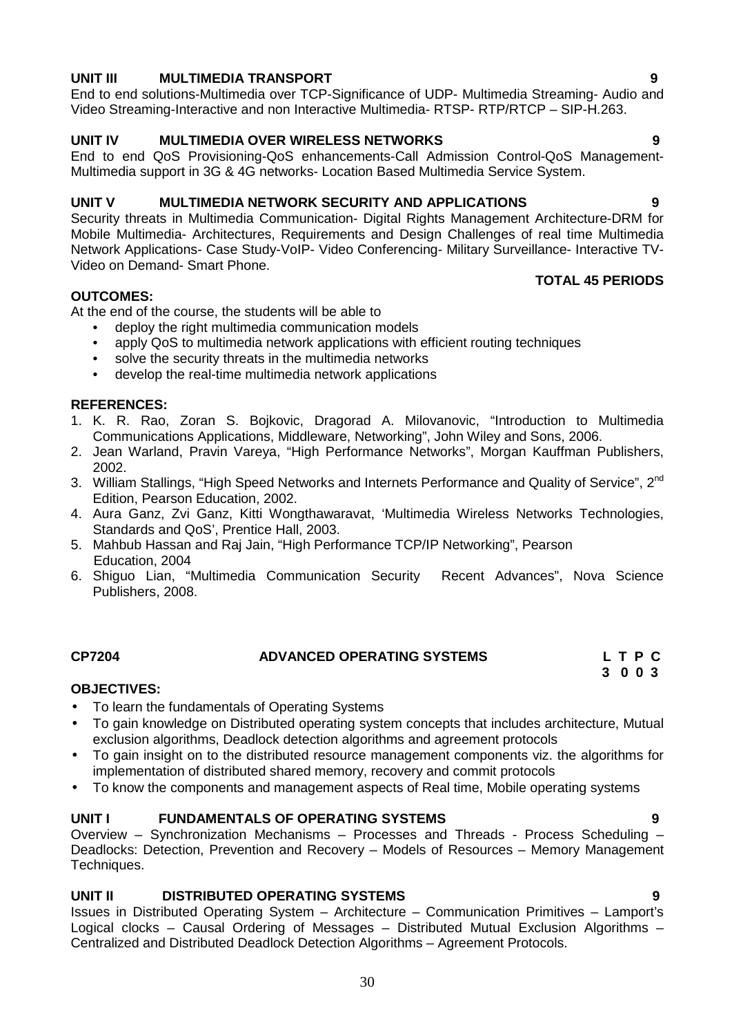- To learn the fundamentals of Operating Systems To gain knowledge on Distributed operating system concepts that includes architecture, Mutual exclusion algorithms, Deadlock detection algorithms and agreement protocols
- To gain insight on to the distributed resource management components viz. the algorithms for implementation of distributed shared memory, recovery and commit protocols
- To know the components and management aspects of Real time, Mobile operating systems

#### **UNIT I FUNDAMENTALS OF OPERATING SYSTEMS 9**

Overview – Synchronization Mechanisms – Processes and Threads - Process Scheduling – Deadlocks: Detection, Prevention and Recovery – Models of Resources – Memory Management Techniques.

### **UNIT II DISTRIBUTED OPERATING SYSTEMS 9**

Issues in Distributed Operating System – Architecture – Communication Primitives – Lamport's Logical clocks – Causal Ordering of Messages – Distributed Mutual Exclusion Algorithms – Centralized and Distributed Deadlock Detection Algorithms – Agreement Protocols.

# **UNIT III MULTIMEDIA TRANSPORT 9**

End to end solutions-Multimedia over TCP-Significance of UDP- Multimedia Streaming- Audio and Video Streaming-Interactive and non Interactive Multimedia- RTSP- RTP/RTCP –SIP-H.263.

#### **UNIT IV MULTIMEDIA OVER WIRELESS NETWORKS 9**

End to end QoS Provisioning-QoS enhancements-Call Admission Control-QoS Management- Multimedia support in 3G & 4G networks- Location Based Multimedia Service System.

#### **UNIT V MULTIMEDIA NETWORK SECURITY AND APPLICATIONS 9**

Security threats in Multimedia Communication- Digital Rights Management Architecture-DRM for Mobile Multimedia- Architectures, Requirements and Design Challenges of real time Multimedia Network Applications- Case Study-VoIP- Video Conferencing- Military Surveillance- Interactive TV- Video on Demand- Smart Phone.

#### **OUTCOMES:**

At the end of the course, the students will be able to

- deploy the right multimedia communication models
- apply QoS to multimedia network applications with efficient routing techniques
- solve the security threats in the multimedia networks
- develop the real-time multimedia network applications

#### **REFERENCES:**

- 1. K. R. Rao, Zoran S. Bojkovic, Dragorad A. Milovanovic, "Introduction to Multimedia Communications Applications, Middleware, Networking", John Wiley and Sons, 2006.
- 2. Jean Warland, Pravin Vareya, "High Performance Networks", Morgan Kauffman Publishers, 2002.
- 3. William Stallings, "High Speed Networks and Internets Performance and Quality of Service", 2<sup>nd</sup> Edition, Pearson Education, 2002.
- 4. Aura Ganz, Zvi Ganz, Kitti Wongthawaravat, 'Multimedia Wireless Networks Technologies, Standards and QoS', Prentice Hall, 2003.
- 5. Mahbub Hassan and Raj Jain, "High Performance TCP/IP Networking", Pearson Education, 2004
- 6. Shiguo Lian, "Multimedia Communication Security Recent Advances", Nova Science Publishers, 2008.

# **CP7204 ADVANCED OPERATING SYSTEMS L T P C**

**OBJECTIVES:**

**3 0 0 3**

**TOTAL 45 PERIODS**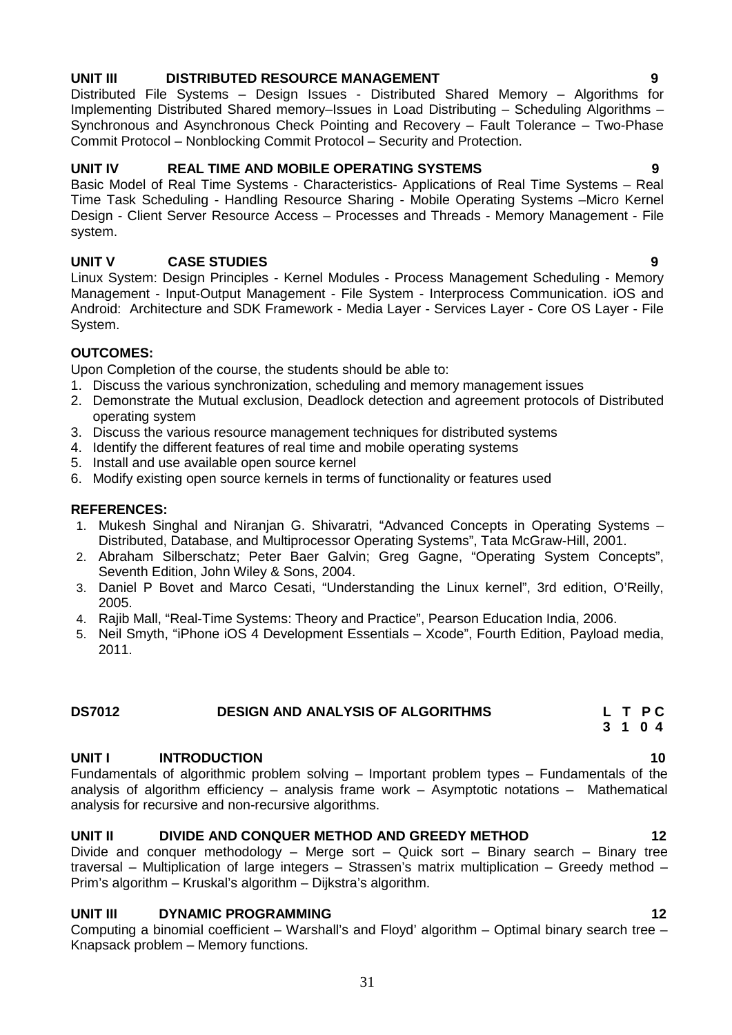### **UNIT III DISTRIBUTED RESOURCE MANAGEMENT 9**

Distributed File Systems – Design Issues - Distributed Shared Memory – Algorithms for Implementing Distributed Shared memory–Issues in Load Distributing – Scheduling Algorithms – Synchronous and Asynchronous Check Pointing and Recovery – Fault Tolerance – Two-Phase Commit Protocol – Nonblocking Commit Protocol – Security and Protection.

#### **UNIT IV REAL TIME AND MOBILE OPERATING SYSTEMS 9**

Basic Model of Real Time Systems - Characteristics- Applications of Real Time Systems – Real Time Task Scheduling - Handling Resource Sharing - Mobile Operating Systems –Micro Kernel Design - Client Server Resource Access – Processes and Threads - Memory Management - File system.

#### **UNIT V CASE STUDIES 9**

Linux System: Design Principles - Kernel Modules - Process Management Scheduling - Memory Management - Input-Output Management - File System - Interprocess Communication. iOS and Android: Architecture and SDK Framework - Media Layer - Services Layer - Core OS Layer - File System.

#### **OUTCOMES:**

Upon Completion of the course, the students should be able to:

- 1. Discuss the various synchronization, scheduling and memory management issues
- 2. Demonstrate the Mutual exclusion, Deadlock detection and agreement protocols of Distributed operating system
- 3. Discuss the various resource management techniques for distributed systems
- 4. Identify the different features of real time and mobile operating systems
- 5. Install and use available open source kernel
- 6. Modify existing open source kernels in terms of functionality or features used

#### **REFERENCES:**

- 1. Mukesh Singhal and Niranjan G. Shivaratri, "Advanced Concepts in Operating Systems Distributed, Database, and Multiprocessor Operating Systems", Tata McGraw-Hill, 2001.
- 2. Abraham Silberschatz; Peter Baer Galvin; Greg Gagne, "Operating System Concepts", Seventh Edition, John Wiley & Sons, 2004.
- 3. Daniel P Bovet and Marco Cesati, "Understanding the Linux kernel", 3rd edition, O'Reilly, 2005.
- 4. Rajib Mall, "Real-Time Systems: Theory and Practice", Pearson Education India, 2006.
- 5. Neil Smyth, "iPhone iOS 4 Development Essentials Xcode", Fourth Edition, Payload media, 2011.

# **DS7012 DESIGN AND ANALYSIS OF ALGORITHMS L T P C**

#### **UNIT I INTRODUCTION 10**

Fundamentals of algorithmic problem solving – Important problem types – Fundamentals of the analysis of algorithm efficiency – analysis frame work – Asymptotic notations – Mathematical analysis for recursive and non-recursive algorithms.

#### **UNIT II DIVIDE AND CONQUER METHOD AND GREEDY METHOD 12**

Divide and conquer methodology – Merge sort – Quick sort – Binary search – Binary tree traversal – Multiplication of large integers – Strassen's matrix multiplication – Greedy method – Prim's algorithm – Kruskal's algorithm – Dijkstra's algorithm.

### **UNIT III DYNAMIC PROGRAMMING 12**

Computing a binomial coefficient – Warshall's and Floyd' algorithm – Optimal binary search tree – Knapsack problem – Memory functions.

**3 1 0 4**